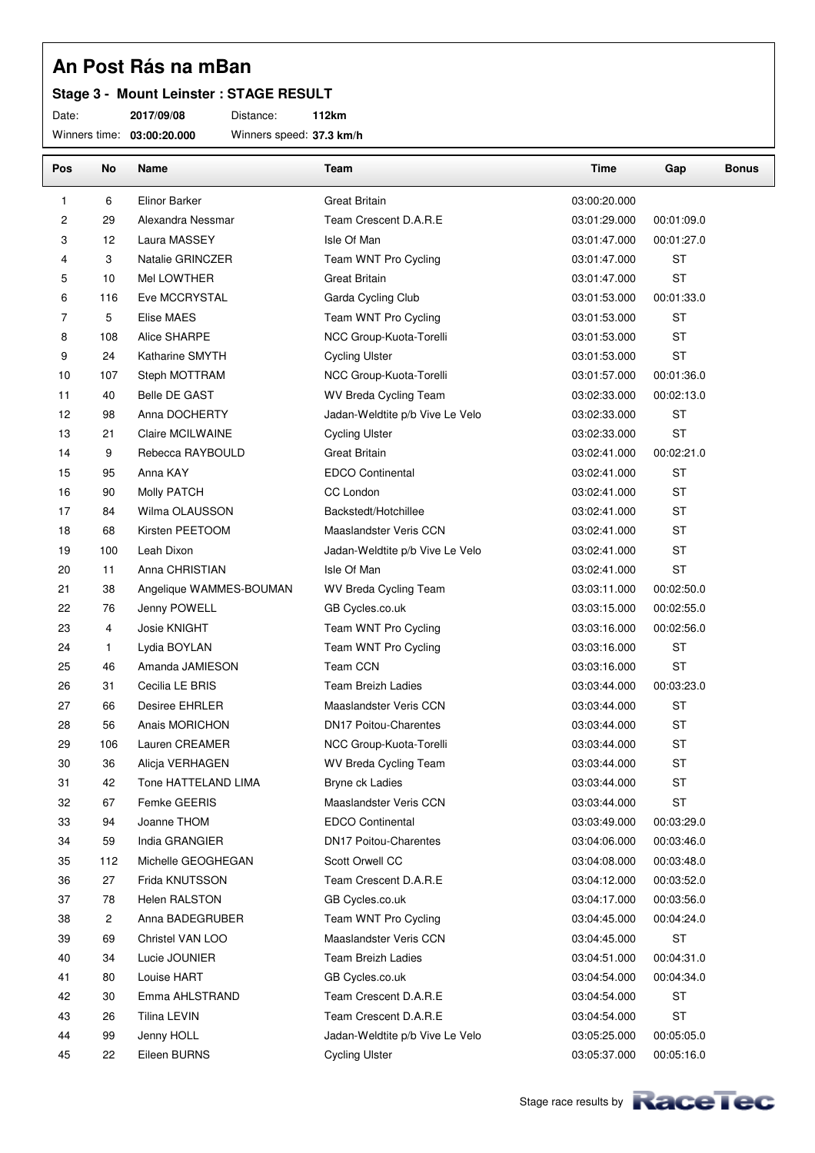#### **Stage 3 - Mount Leinster : STAGE RESULT**

Date: **2017/09/08** Distance: **112km**

| Pos | No             | Name                    | Team                            | Time         | Gap        | <b>Bonus</b> |
|-----|----------------|-------------------------|---------------------------------|--------------|------------|--------------|
| 1   | 6              | Elinor Barker           | <b>Great Britain</b>            | 03:00:20.000 |            |              |
| 2   | 29             | Alexandra Nessmar       | Team Crescent D.A.R.E           | 03:01:29.000 | 00:01:09.0 |              |
| 3   | 12             | Laura MASSEY            | Isle Of Man                     | 03:01:47.000 | 00:01:27.0 |              |
| 4   | 3              | Natalie GRINCZER        | Team WNT Pro Cycling            | 03:01:47.000 | <b>ST</b>  |              |
| 5   | 10             | Mel LOWTHER             | <b>Great Britain</b>            | 03:01:47.000 | <b>ST</b>  |              |
| 6   | 116            | Eve MCCRYSTAL           | Garda Cycling Club              | 03:01:53.000 | 00:01:33.0 |              |
| 7   | 5              | Elise MAES              | Team WNT Pro Cycling            | 03:01:53.000 | <b>ST</b>  |              |
| 8   | 108            | Alice SHARPE            | NCC Group-Kuota-Torelli         | 03:01:53.000 | <b>ST</b>  |              |
| 9   | 24             | Katharine SMYTH         | <b>Cycling Ulster</b>           | 03:01:53.000 | <b>ST</b>  |              |
| 10  | 107            | Steph MOTTRAM           | NCC Group-Kuota-Torelli         | 03:01:57.000 | 00:01:36.0 |              |
| 11  | 40             | <b>Belle DE GAST</b>    | WV Breda Cycling Team           | 03:02:33.000 | 00:02:13.0 |              |
| 12  | 98             | Anna DOCHERTY           | Jadan-Weldtite p/b Vive Le Velo | 03:02:33.000 | <b>ST</b>  |              |
| 13  | 21             | Claire MCILWAINE        | <b>Cycling Ulster</b>           | 03:02:33.000 | <b>ST</b>  |              |
| 14  | 9              | Rebecca RAYBOULD        | Great Britain                   | 03:02:41.000 | 00:02:21.0 |              |
| 15  | 95             | Anna KAY                | <b>EDCO Continental</b>         | 03:02:41.000 | <b>ST</b>  |              |
| 16  | 90             | Molly PATCH             | CC London                       | 03:02:41.000 | <b>ST</b>  |              |
| 17  | 84             | Wilma OLAUSSON          | Backstedt/Hotchillee            | 03:02:41.000 | <b>ST</b>  |              |
| 18  | 68             | Kirsten PEETOOM         | Maaslandster Veris CCN          | 03:02:41.000 | <b>ST</b>  |              |
| 19  | 100            | Leah Dixon              | Jadan-Weldtite p/b Vive Le Velo | 03:02:41.000 | <b>ST</b>  |              |
| 20  | 11             | Anna CHRISTIAN          | Isle Of Man                     | 03:02:41.000 | <b>ST</b>  |              |
| 21  | 38             | Angelique WAMMES-BOUMAN | WV Breda Cycling Team           | 03:03:11.000 | 00:02:50.0 |              |
| 22  | 76             | Jenny POWELL            | GB Cycles.co.uk                 | 03:03:15.000 | 00:02:55.0 |              |
| 23  | 4              | Josie KNIGHT            | Team WNT Pro Cycling            | 03:03:16.000 | 00:02:56.0 |              |
| 24  | 1              | Lydia BOYLAN            | Team WNT Pro Cycling            | 03:03:16.000 | <b>ST</b>  |              |
| 25  | 46             | Amanda JAMIESON         | Team CCN                        | 03:03:16.000 | <b>ST</b>  |              |
| 26  | 31             | Cecilia LE BRIS         | <b>Team Breizh Ladies</b>       | 03:03:44.000 | 00:03:23.0 |              |
| 27  | 66             | Desiree EHRLER          | Maaslandster Veris CCN          | 03:03:44.000 | <b>ST</b>  |              |
| 28  | 56             | Anais MORICHON          | <b>DN17 Poitou-Charentes</b>    | 03:03:44.000 | <b>ST</b>  |              |
| 29  | 106            | Lauren CREAMER          | NCC Group-Kuota-Torelli         | 03:03:44.000 | <b>ST</b>  |              |
| 30  | 36             | Alicja VERHAGEN         | <b>WV Breda Cycling Team</b>    | 03:03:44.000 | <b>ST</b>  |              |
| 31  | 42             | Tone HATTELAND LIMA     | Bryne ck Ladies                 | 03:03:44.000 | <b>ST</b>  |              |
| 32  | 67             | Femke GEERIS            | Maaslandster Veris CCN          | 03:03:44.000 | ST         |              |
| 33  | 94             | Joanne THOM             | <b>EDCO Continental</b>         | 03:03:49.000 | 00:03:29.0 |              |
| 34  | 59             | India GRANGIER          | <b>DN17 Poitou-Charentes</b>    | 03:04:06.000 | 00:03:46.0 |              |
| 35  | 112            | Michelle GEOGHEGAN      | Scott Orwell CC                 | 03:04:08.000 | 00:03:48.0 |              |
| 36  | 27             | Frida KNUTSSON          | Team Crescent D.A.R.E           | 03:04:12.000 | 00:03:52.0 |              |
| 37  | 78             | <b>Helen RALSTON</b>    | GB Cycles.co.uk                 | 03:04:17.000 | 00:03:56.0 |              |
| 38  | $\overline{c}$ | Anna BADEGRUBER         | Team WNT Pro Cycling            | 03:04:45.000 | 00:04:24.0 |              |
| 39  | 69             | Christel VAN LOO        | Maaslandster Veris CCN          | 03:04:45.000 | ST         |              |
| 40  | 34             | Lucie JOUNIER           | Team Breizh Ladies              | 03:04:51.000 | 00:04:31.0 |              |
| 41  | 80             | Louise HART             | GB Cycles.co.uk                 | 03:04:54.000 | 00:04:34.0 |              |
| 42  | 30             | Emma AHLSTRAND          | Team Crescent D.A.R.E           | 03:04:54.000 | ST         |              |
| 43  | 26             | Tilina LEVIN            | Team Crescent D.A.R.E           | 03:04:54.000 | ST         |              |
| 44  | 99             | Jenny HOLL              | Jadan-Weldtite p/b Vive Le Velo | 03:05:25.000 | 00:05:05.0 |              |
| 45  | 22             | Eileen BURNS            | <b>Cycling Ulster</b>           | 03:05:37.000 | 00:05:16.0 |              |

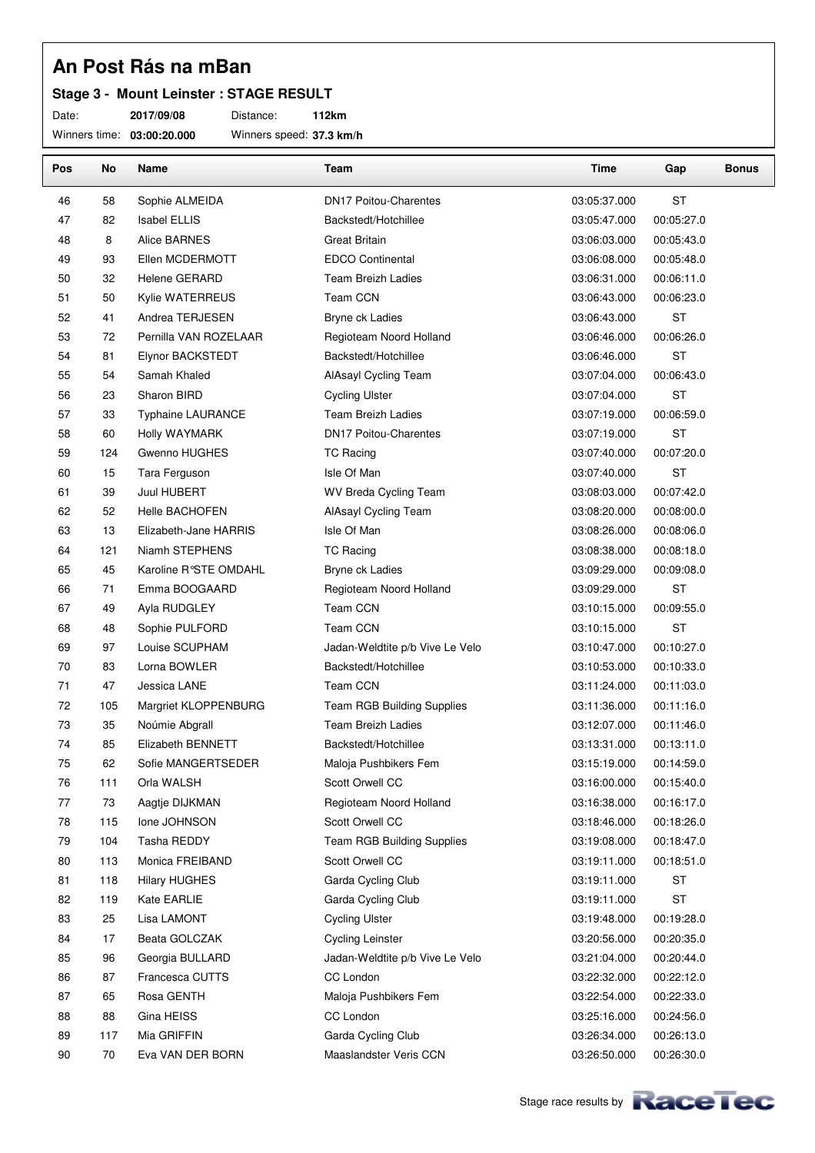#### **Stage 3 - Mount Leinster : STAGE RESULT**

Date: **2017/09/08** Distance: **112km**

| Pos      | No        | Name                      | Team                               | Time                         | Gap                      | <b>Bonus</b> |
|----------|-----------|---------------------------|------------------------------------|------------------------------|--------------------------|--------------|
| 46       | 58        | Sophie ALMEIDA            | <b>DN17 Poitou-Charentes</b>       | 03:05:37.000                 | <b>ST</b>                |              |
| 47       | 82        | <b>Isabel ELLIS</b>       | Backstedt/Hotchillee               | 03:05:47.000                 | 00:05:27.0               |              |
| 48       | 8         | Alice BARNES              | <b>Great Britain</b>               | 03:06:03.000                 | 00:05:43.0               |              |
| 49       | 93        | Ellen MCDERMOTT           | <b>EDCO Continental</b>            | 03:06:08.000                 | 00:05:48.0               |              |
| 50       | 32        | Helene GERARD             | <b>Team Breizh Ladies</b>          | 03:06:31.000                 | 00:06:11.0               |              |
| 51       | 50        | Kylie WATERREUS           | Team CCN                           | 03:06:43.000                 | 00:06:23.0               |              |
| 52       | 41        | Andrea TERJESEN           | Bryne ck Ladies                    | 03:06:43.000                 | ST                       |              |
| 53       | 72        | Pernilla VAN ROZELAAR     | Regioteam Noord Holland            | 03:06:46.000                 | 00:06:26.0               |              |
| 54       | 81        | Elynor BACKSTEDT          | Backstedt/Hotchillee               | 03:06:46.000                 | <b>ST</b>                |              |
| 55       | 54        | Samah Khaled              | AlAsayl Cycling Team               | 03:07:04.000                 | 00:06:43.0               |              |
| 56       | 23        | Sharon BIRD               | <b>Cycling Ulster</b>              | 03:07:04.000                 | <b>ST</b>                |              |
| 57       | 33        | <b>Typhaine LAURANCE</b>  | <b>Team Breizh Ladies</b>          | 03:07:19.000                 | 00:06:59.0               |              |
| 58       | 60        | Holly WAYMARK             | <b>DN17 Poitou-Charentes</b>       | 03:07:19.000                 | <b>ST</b>                |              |
| 59       | 124       | Gwenno HUGHES             | <b>TC Racing</b>                   | 03:07:40.000                 | 00:07:20.0               |              |
| 60       | 15        | Tara Ferguson             | Isle Of Man                        | 03:07:40.000                 | <b>ST</b>                |              |
| 61       | 39        | Juul HUBERT               | WV Breda Cycling Team              | 03:08:03.000                 | 00:07:42.0               |              |
| 62       | 52        | <b>Helle BACHOFEN</b>     | AlAsayl Cycling Team               | 03:08:20.000                 | 00:08:00.0               |              |
| 63       | 13        | Elizabeth-Jane HARRIS     | Isle Of Man                        | 03:08:26.000                 | 00:08:06.0               |              |
| 64       | 121       | Niamh STEPHENS            | <b>TC Racing</b>                   | 03:08:38.000                 | 00:08:18.0               |              |
| 65       | 45        | Karoline R°STE OMDAHL     | Bryne ck Ladies                    | 03:09:29.000                 | 00:09:08.0               |              |
| 66       | 71        | Emma BOOGAARD             | Regioteam Noord Holland            | 03:09:29.000                 | <b>ST</b>                |              |
| 67       | 49        | Ayla RUDGLEY              | <b>Team CCN</b>                    | 03:10:15.000                 | 00:09:55.0               |              |
| 68       | 48        | Sophie PULFORD            | Team CCN                           | 03:10:15.000                 | <b>ST</b>                |              |
| 69       | 97        | Louise SCUPHAM            | Jadan-Weldtite p/b Vive Le Velo    | 03:10:47.000                 | 00:10:27.0               |              |
| 70       | 83        | Lorna BOWLER              | Backstedt/Hotchillee               | 03:10:53.000                 | 00:10:33.0               |              |
| 71       | 47        | Jessica LANE              | Team CCN                           | 03:11:24.000                 | 00:11:03.0               |              |
| 72       | 105       | Margriet KLOPPENBURG      | Team RGB Building Supplies         | 03:11:36.000                 | 00:11:16.0               |              |
| 73       | 35        | Noúmie Abgrall            | <b>Team Breizh Ladies</b>          | 03:12:07.000                 | 00:11:46.0               |              |
| 74       | 85        | Elizabeth BENNETT         | Backstedt/Hotchillee               | 03:13:31.000                 | 00:13:11.0               |              |
| 75       | 62        | Sofie MANGERTSEDER        | Maloja Pushbikers Fem              | 03:15:19.000                 | 00:14:59.0               |              |
| 76       | 111       | Orla WALSH                | Scott Orwell CC                    | 03:16:00.000                 | 00:15:40.0               |              |
| 77       | 73        | Aagtje DIJKMAN            | Regioteam Noord Holland            | 03:16:38.000                 | 00:16:17.0               |              |
| 78       | 115       | Ione JOHNSON              | Scott Orwell CC                    | 03:18:46.000                 | 00:18:26.0               |              |
| 79       | 104       | Tasha REDDY               | Team RGB Building Supplies         | 03:19:08.000                 | 00:18:47.0               |              |
| 80       | 113       | Monica FREIBAND           | Scott Orwell CC                    | 03:19:11.000                 | 00:18:51.0               |              |
| 81       | 118       | <b>Hilary HUGHES</b>      | Garda Cycling Club                 | 03:19:11.000                 | ST                       |              |
| 82       | 119       | Kate EARLIE               | Garda Cycling Club                 | 03:19:11.000                 | <b>ST</b>                |              |
| 83       | 25        | Lisa LAMONT               | <b>Cycling Ulster</b>              | 03:19:48.000                 | 00:19:28.0               |              |
| 84       | 17        | Beata GOLCZAK             | <b>Cycling Leinster</b>            | 03:20:56.000                 | 00:20:35.0               |              |
| 85       | 96        | Georgia BULLARD           | Jadan-Weldtite p/b Vive Le Velo    | 03:21:04.000                 | 00:20:44.0               |              |
| 86<br>87 | 87<br>65  | Francesca CUTTS           | CC London                          | 03:22:32.000                 | 00:22:12.0               |              |
|          |           | Rosa GENTH                | Maloja Pushbikers Fem<br>CC London | 03:22:54.000                 | 00:22:33.0               |              |
| 88<br>89 | 88<br>117 | Gina HEISS<br>Mia GRIFFIN | Garda Cycling Club                 | 03:25:16.000<br>03:26:34.000 | 00:24:56.0<br>00:26:13.0 |              |
| 90       | 70        |                           | Maaslandster Veris CCN             | 03:26:50.000                 | 00:26:30.0               |              |
|          |           | Eva VAN DER BORN          |                                    |                              |                          |              |

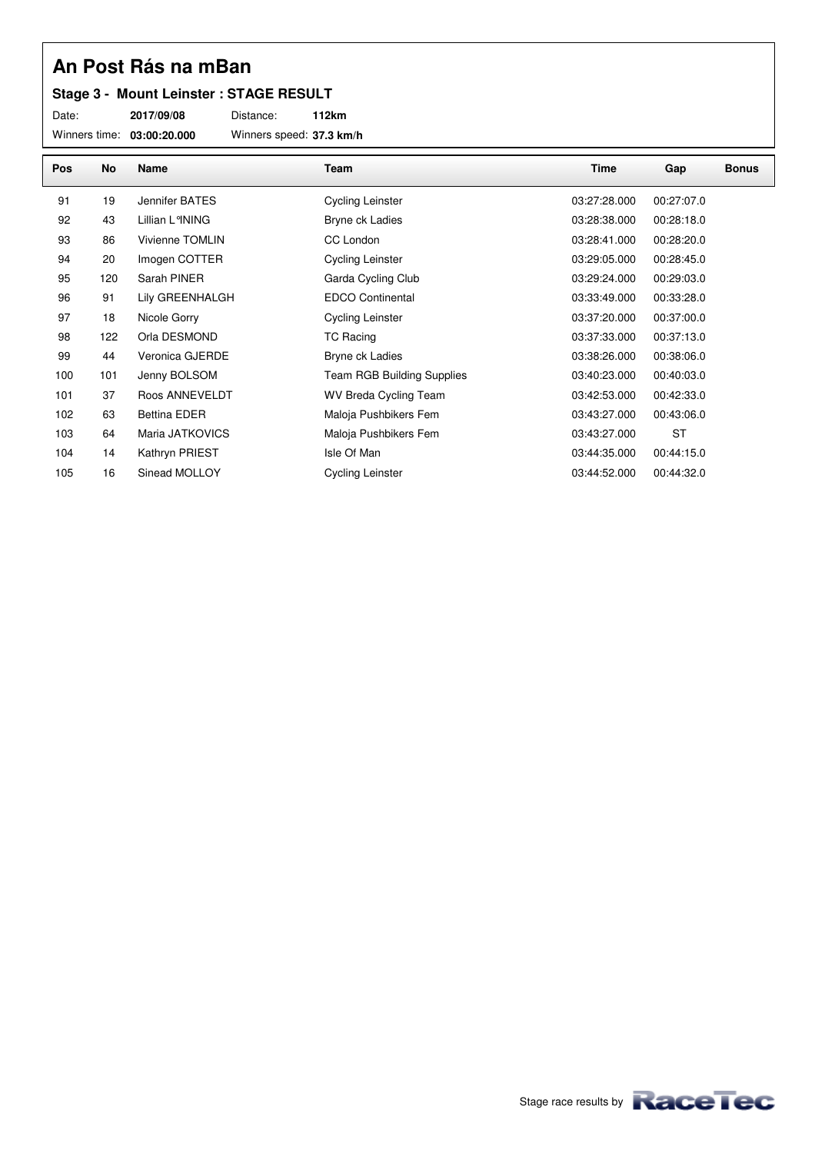#### **Stage 3 - Mount Leinster : STAGE RESULT**

Date: **2017/09/08** Distance: **112km**

| <b>Pos</b> | No  | Name                | Team                         | Time         | Gap        | <b>Bonus</b> |
|------------|-----|---------------------|------------------------------|--------------|------------|--------------|
| 91         | 19  | Jennifer BATES      | <b>Cycling Leinster</b>      | 03:27:28.000 | 00:27:07.0 |              |
| 92         | 43  | Lillian L°INING     | Bryne ck Ladies              | 03:28:38.000 | 00:28:18.0 |              |
| 93         | 86  | Vivienne TOMLIN     | CC London                    | 03:28:41.000 | 00:28:20.0 |              |
| 94         | 20  | Imogen COTTER       | Cycling Leinster             | 03:29:05.000 | 00:28:45.0 |              |
| 95         | 120 | Sarah PINER         | Garda Cycling Club           | 03:29:24.000 | 00:29:03.0 |              |
| 96         | 91  | Lily GREENHALGH     | <b>EDCO Continental</b>      | 03:33:49.000 | 00:33:28.0 |              |
| 97         | 18  | Nicole Gorry        | <b>Cycling Leinster</b>      | 03:37:20.000 | 00:37:00.0 |              |
| 98         | 122 | Orla DESMOND        | <b>TC Racing</b>             | 03:37:33.000 | 00:37:13.0 |              |
| 99         | 44  | Veronica GJERDE     | Bryne ck Ladies              | 03:38:26.000 | 00:38:06.0 |              |
| 100        | 101 | Jenny BOLSOM        | Team RGB Building Supplies   | 03:40:23.000 | 00:40:03.0 |              |
| 101        | 37  | Roos ANNEVELDT      | <b>WV Breda Cycling Team</b> | 03:42:53.000 | 00:42:33.0 |              |
| 102        | 63  | <b>Bettina EDER</b> | Maloja Pushbikers Fem        | 03:43:27.000 | 00:43:06.0 |              |
| 103        | 64  | Maria JATKOVICS     | Maloja Pushbikers Fem        | 03:43:27.000 | <b>ST</b>  |              |
| 104        | 14  | Kathryn PRIEST      | Isle Of Man                  | 03:44:35.000 | 00:44:15.0 |              |
| 105        | 16  | Sinead MOLLOY       | <b>Cycling Leinster</b>      | 03:44:52.000 | 00:44:32.0 |              |

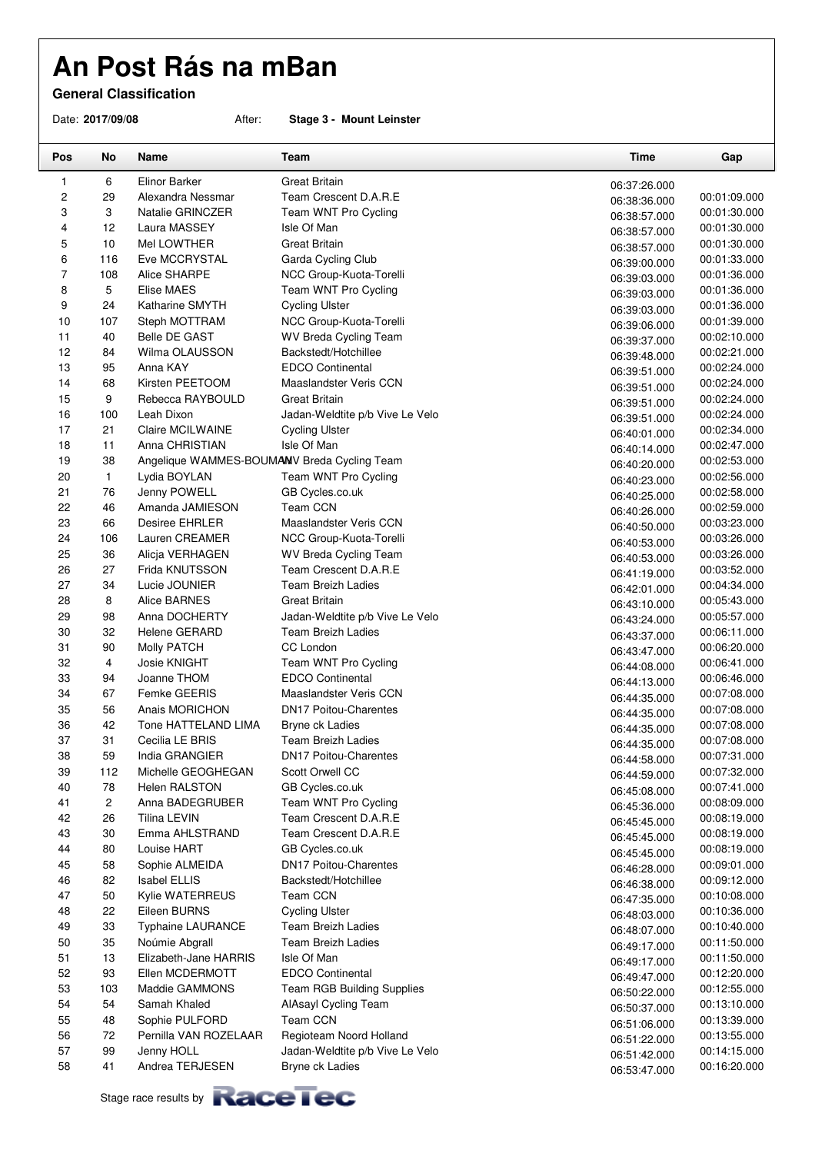**General Classification**

Date: **2017/09/08** After: **Stage 3 - Mount Leinster**

| Pos                     | No           | Name                                        | Team                              | Time         | Gap          |
|-------------------------|--------------|---------------------------------------------|-----------------------------------|--------------|--------------|
| 1                       | 6            | Elinor Barker                               | <b>Great Britain</b>              | 06:37:26.000 |              |
| $\overline{\mathbf{c}}$ | 29           | Alexandra Nessmar                           | Team Crescent D.A.R.E             | 06:38:36.000 | 00:01:09.000 |
| 3                       | 3            | Natalie GRINCZER                            | Team WNT Pro Cycling              | 06:38:57.000 | 00:01:30.000 |
| 4                       | 12           | Laura MASSEY                                | Isle Of Man                       | 06:38:57.000 | 00:01:30.000 |
| 5                       | 10           | Mel LOWTHER                                 | <b>Great Britain</b>              | 06:38:57.000 | 00:01:30.000 |
| 6                       | 116          | Eve MCCRYSTAL                               | Garda Cycling Club                | 06:39:00.000 | 00:01:33.000 |
| $\overline{7}$          | 108          | <b>Alice SHARPE</b>                         | NCC Group-Kuota-Torelli           | 06:39:03.000 | 00:01:36.000 |
| 8                       | 5            | Elise MAES                                  | Team WNT Pro Cycling              | 06:39:03.000 | 00:01:36.000 |
| 9                       | 24           | Katharine SMYTH                             | <b>Cycling Ulster</b>             | 06:39:03.000 | 00:01:36.000 |
| 10                      | 107          | Steph MOTTRAM                               | NCC Group-Kuota-Torelli           | 06:39:06.000 | 00:01:39.000 |
| 11                      | 40           | <b>Belle DE GAST</b>                        | WV Breda Cycling Team             | 06:39:37.000 | 00:02:10.000 |
| 12                      | 84           | Wilma OLAUSSON                              | Backstedt/Hotchillee              | 06:39:48.000 | 00:02:21.000 |
| 13                      | 95           | Anna KAY                                    | <b>EDCO Continental</b>           | 06:39:51.000 | 00:02:24.000 |
| 14                      | 68           | Kirsten PEETOOM                             | Maaslandster Veris CCN            | 06:39:51.000 | 00:02:24.000 |
| 15                      | 9            | Rebecca RAYBOULD                            | Great Britain                     | 06:39:51.000 | 00:02:24.000 |
| 16                      | 100          | Leah Dixon                                  | Jadan-Weldtite p/b Vive Le Velo   | 06:39:51.000 | 00:02:24.000 |
| 17                      | 21           | Claire MCILWAINE                            | <b>Cycling Ulster</b>             | 06:40:01.000 | 00:02:34.000 |
| 18                      | 11           | Anna CHRISTIAN                              | Isle Of Man                       | 06:40:14.000 | 00:02:47.000 |
| 19                      | 38           | Angelique WAMMES-BOUMANV Breda Cycling Team |                                   | 06:40:20.000 | 00:02:53.000 |
| 20                      | $\mathbf{1}$ | Lydia BOYLAN                                | Team WNT Pro Cycling              | 06:40:23.000 | 00:02:56.000 |
| 21                      | 76           | Jenny POWELL                                | GB Cycles.co.uk                   | 06:40:25.000 | 00:02:58.000 |
| 22                      | 46           | Amanda JAMIESON                             | <b>Team CCN</b>                   | 06:40:26.000 | 00:02:59.000 |
| 23                      | 66           | <b>Desiree EHRLER</b>                       | Maaslandster Veris CCN            | 06:40:50.000 | 00:03:23.000 |
| 24                      | 106          | Lauren CREAMER                              | NCC Group-Kuota-Torelli           | 06:40:53.000 | 00:03:26.000 |
| 25                      | 36           | Alicja VERHAGEN                             | WV Breda Cycling Team             | 06:40:53.000 | 00:03:26.000 |
| 26                      | 27           | Frida KNUTSSON                              | Team Crescent D.A.R.E             | 06:41:19.000 | 00:03:52.000 |
| 27                      | 34           | Lucie JOUNIER                               | <b>Team Breizh Ladies</b>         | 06:42:01.000 | 00:04:34.000 |
| 28                      | 8            | <b>Alice BARNES</b>                         | <b>Great Britain</b>              | 06:43:10.000 | 00:05:43.000 |
| 29                      | 98           | Anna DOCHERTY                               | Jadan-Weldtite p/b Vive Le Velo   | 06:43:24.000 | 00:05:57.000 |
| 30                      | 32           | Helene GERARD                               | <b>Team Breizh Ladies</b>         | 06:43:37.000 | 00:06:11.000 |
| 31                      | 90           | Molly PATCH                                 | CC London                         | 06:43:47.000 | 00:06:20.000 |
| 32                      | 4            | Josie KNIGHT                                | Team WNT Pro Cycling              | 06:44:08.000 | 00:06:41.000 |
| 33                      | 94           | Joanne THOM                                 | <b>EDCO Continental</b>           | 06:44:13.000 | 00:06:46.000 |
| 34                      | 67           | Femke GEERIS                                | Maaslandster Veris CCN            | 06:44:35.000 | 00:07:08.000 |
| 35                      | 56           | Anais MORICHON                              | <b>DN17 Poitou-Charentes</b>      | 06:44:35.000 | 00:07:08.000 |
| 36                      | 42           | Tone HATTELAND LIMA                         | Bryne ck Ladies                   | 06:44:35.000 | 00:07:08.000 |
| 37                      | 31           | Cecilia LE BRIS                             | Team Breizh Ladies                | 06:44:35.000 | 00:07:08.000 |
| 38                      | 59           | India GRANGIER                              | <b>DN17 Poitou-Charentes</b>      | 06:44:58.000 | 00:07:31.000 |
| 39                      | 112          | Michelle GEOGHEGAN                          | Scott Orwell CC                   | 06:44:59.000 | 00:07:32.000 |
| 40                      | 78           | <b>Helen RALSTON</b>                        | GB Cycles.co.uk                   | 06:45:08.000 | 00:07:41.000 |
| 41                      | 2            | Anna BADEGRUBER                             | Team WNT Pro Cycling              | 06:45:36.000 | 00:08:09.000 |
| 42                      | 26           | Tilina LEVIN                                | Team Crescent D.A.R.E             | 06:45:45.000 | 00:08:19.000 |
| 43                      | 30           | Emma AHLSTRAND                              | Team Crescent D.A.R.E             | 06:45:45.000 | 00:08:19.000 |
| 44                      | 80           | Louise HART                                 | GB Cycles.co.uk                   | 06:45:45.000 | 00:08:19.000 |
| 45                      | 58           | Sophie ALMEIDA                              | <b>DN17 Poitou-Charentes</b>      | 06:46:28.000 | 00:09:01.000 |
| 46                      | 82           | <b>Isabel ELLIS</b>                         | Backstedt/Hotchillee              | 06:46:38.000 | 00:09:12.000 |
| 47                      | 50           | Kylie WATERREUS                             | Team CCN                          | 06:47:35.000 | 00:10:08.000 |
| 48                      | 22           | Eileen BURNS                                | <b>Cycling Ulster</b>             | 06:48:03.000 | 00:10:36.000 |
| 49                      | 33           | <b>Typhaine LAURANCE</b>                    | <b>Team Breizh Ladies</b>         | 06:48:07.000 | 00:10:40.000 |
| 50                      | 35           | Noúmie Abgrall                              | <b>Team Breizh Ladies</b>         | 06:49:17.000 | 00:11:50.000 |
| 51                      | 13           | Elizabeth-Jane HARRIS                       | Isle Of Man                       | 06:49:17.000 | 00:11:50.000 |
| 52                      | 93           | Ellen MCDERMOTT                             | <b>EDCO Continental</b>           | 06:49:47.000 | 00:12:20.000 |
| 53                      | 103          | Maddie GAMMONS                              | <b>Team RGB Building Supplies</b> | 06:50:22.000 | 00:12:55.000 |
| 54                      | 54           | Samah Khaled                                | AlAsayl Cycling Team              | 06:50:37.000 | 00:13:10.000 |
| 55                      | 48           | Sophie PULFORD                              | Team CCN                          | 06:51:06.000 | 00:13:39.000 |
| 56                      | 72           | Pernilla VAN ROZELAAR                       | Regioteam Noord Holland           | 06:51:22.000 | 00:13:55.000 |
| 57                      | 99           | Jenny HOLL                                  | Jadan-Weldtite p/b Vive Le Velo   | 06:51:42.000 | 00:14:15.000 |
| 58                      | 41           | Andrea TERJESEN                             | Bryne ck Ladies                   | 06:53:47.000 | 00:16:20.000 |
|                         |              |                                             |                                   |              |              |

Stage race results by **Race Tec**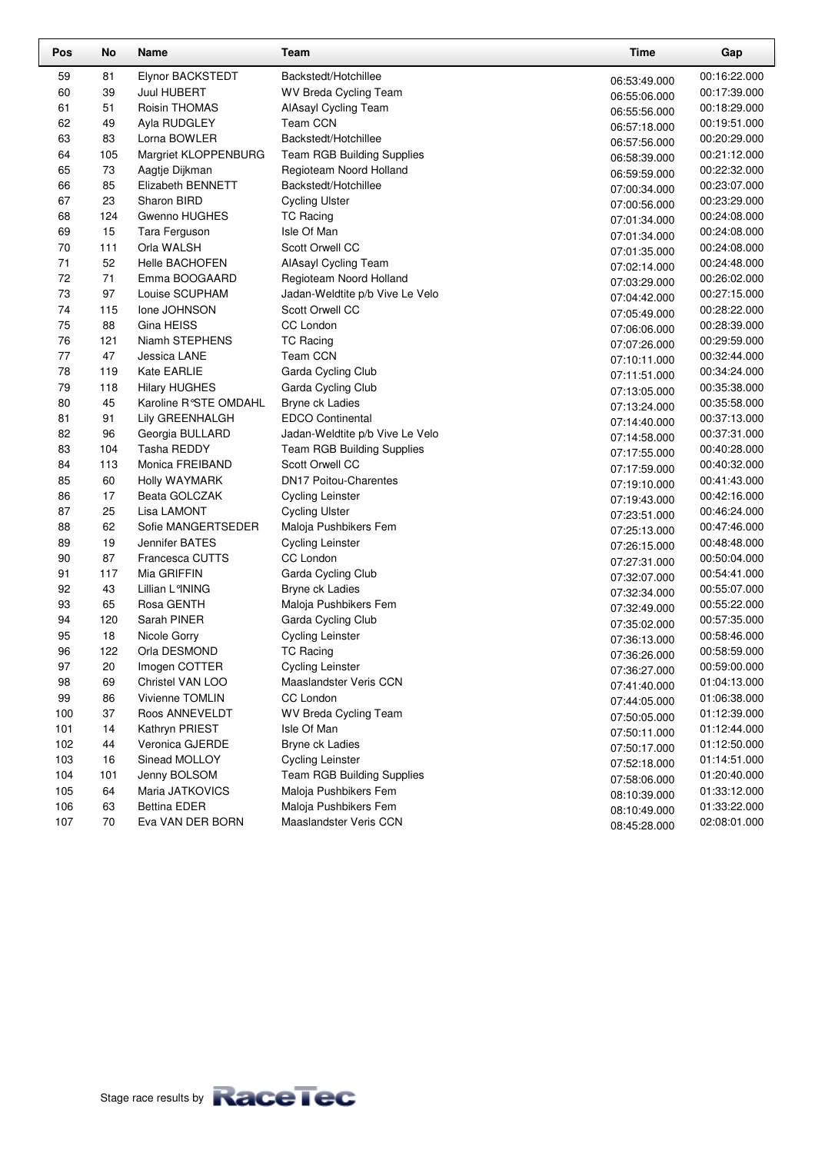| Pos | No  | Name                   | Team                              | Time         | Gap          |
|-----|-----|------------------------|-----------------------------------|--------------|--------------|
| 59  | 81  | Elynor BACKSTEDT       | Backstedt/Hotchillee              | 06:53:49.000 | 00:16:22.000 |
| 60  | 39  | <b>Juul HUBERT</b>     | WV Breda Cycling Team             | 06:55:06.000 | 00:17:39.000 |
| 61  | 51  | Roisin THOMAS          | AlAsayl Cycling Team              | 06:55:56.000 | 00:18:29.000 |
| 62  | 49  | Ayla RUDGLEY           | Team CCN                          | 06:57:18.000 | 00:19:51.000 |
| 63  | 83  | Lorna BOWLER           | Backstedt/Hotchillee              | 06:57:56.000 | 00:20:29.000 |
| 64  | 105 | Margriet KLOPPENBURG   | <b>Team RGB Building Supplies</b> | 06:58:39.000 | 00:21:12.000 |
| 65  | 73  | Aagtje Dijkman         | Regioteam Noord Holland           | 06:59:59.000 | 00:22:32.000 |
| 66  | 85  | Elizabeth BENNETT      | Backstedt/Hotchillee              | 07:00:34.000 | 00:23:07.000 |
| 67  | 23  | Sharon BIRD            | <b>Cycling Ulster</b>             | 07:00:56.000 | 00:23:29.000 |
| 68  | 124 | Gwenno HUGHES          | <b>TC Racing</b>                  | 07:01:34.000 | 00:24:08.000 |
| 69  | 15  | Tara Ferguson          | Isle Of Man                       | 07:01:34.000 | 00:24:08.000 |
| 70  | 111 | Orla WALSH             | Scott Orwell CC                   | 07:01:35.000 | 00:24:08.000 |
| 71  | 52  | <b>Helle BACHOFEN</b>  | AlAsayl Cycling Team              | 07:02:14.000 | 00:24:48.000 |
| 72  | 71  | Emma BOOGAARD          | Regioteam Noord Holland           | 07:03:29.000 | 00:26:02.000 |
| 73  | 97  | Louise SCUPHAM         | Jadan-Weldtite p/b Vive Le Velo   | 07:04:42.000 | 00:27:15.000 |
| 74  | 115 | Ione JOHNSON           | Scott Orwell CC                   | 07:05:49.000 | 00:28:22.000 |
| 75  | 88  | Gina HEISS             | CC London                         | 07:06:06.000 | 00:28:39.000 |
| 76  | 121 | Niamh STEPHENS         | <b>TC Racing</b>                  | 07:07:26.000 | 00:29:59.000 |
| 77  | 47  | Jessica LANE           | <b>Team CCN</b>                   | 07:10:11.000 | 00:32:44.000 |
| 78  | 119 | Kate EARLIE            | Garda Cycling Club                | 07:11:51.000 | 00:34:24.000 |
| 79  | 118 | <b>Hilary HUGHES</b>   | Garda Cycling Club                | 07:13:05.000 | 00:35:38.000 |
| 80  | 45  | Karoline R°STE OMDAHL  | <b>Bryne ck Ladies</b>            | 07:13:24.000 | 00:35:58.000 |
| 81  | 91  | <b>Lily GREENHALGH</b> | <b>EDCO Continental</b>           | 07:14:40.000 | 00:37:13.000 |
| 82  | 96  | Georgia BULLARD        | Jadan-Weldtite p/b Vive Le Velo   | 07:14:58.000 | 00:37:31.000 |
| 83  | 104 | Tasha REDDY            | <b>Team RGB Building Supplies</b> | 07:17:55.000 | 00:40:28.000 |
| 84  | 113 | Monica FREIBAND        | Scott Orwell CC                   | 07:17:59.000 | 00:40:32.000 |
| 85  | 60  | Holly WAYMARK          | <b>DN17 Poitou-Charentes</b>      | 07:19:10.000 | 00:41:43.000 |
| 86  | 17  | Beata GOLCZAK          | <b>Cycling Leinster</b>           | 07:19:43.000 | 00:42:16.000 |
| 87  | 25  | Lisa LAMONT            | <b>Cycling Ulster</b>             | 07:23:51.000 | 00:46:24.000 |
| 88  | 62  | Sofie MANGERTSEDER     | Maloja Pushbikers Fem             | 07:25:13.000 | 00:47:46.000 |
| 89  | 19  | Jennifer BATES         | <b>Cycling Leinster</b>           | 07:26:15.000 | 00:48:48.000 |
| 90  | 87  | <b>Francesca CUTTS</b> | CC London                         | 07:27:31.000 | 00:50:04.000 |
| 91  | 117 | Mia GRIFFIN            | Garda Cycling Club                | 07:32:07.000 | 00:54:41.000 |
| 92  | 43  | Lillian L°INING        | Bryne ck Ladies                   | 07:32:34.000 | 00:55:07.000 |
| 93  | 65  | Rosa GENTH             | Maloja Pushbikers Fem             | 07:32:49.000 | 00:55:22.000 |
| 94  | 120 | Sarah PINER            | Garda Cycling Club                | 07:35:02.000 | 00:57:35.000 |
| 95  | 18  | Nicole Gorry           | <b>Cycling Leinster</b>           | 07:36:13.000 | 00:58:46.000 |
| 96  | 122 | Orla DESMOND           | <b>TC Racing</b>                  | 07:36:26.000 | 00:58:59.000 |
| 97  | 20  | Imogen COTTER          | <b>Cycling Leinster</b>           | 07:36:27.000 | 00:59:00.000 |
| 98  | 69  | Christel VAN LOO       | Maaslandster Veris CCN            | 07:41:40.000 | 01:04:13.000 |
| 99  | 86  | Vivienne TOMLIN        | CC London                         | 07:44:05.000 | 01:06:38.000 |
| 100 | 37  | Roos ANNEVELDT         | WV Breda Cycling Team             | 07:50:05.000 | 01:12:39.000 |
| 101 | 14  | Kathryn PRIEST         | Isle Of Man                       | 07:50:11.000 | 01:12:44.000 |
| 102 | 44  | Veronica GJERDE        | Bryne ck Ladies                   | 07:50:17.000 | 01:12:50.000 |
| 103 | 16  | Sinead MOLLOY          | <b>Cycling Leinster</b>           | 07:52:18.000 | 01:14:51.000 |
| 104 | 101 | Jenny BOLSOM           | <b>Team RGB Building Supplies</b> | 07:58:06.000 | 01:20:40.000 |
| 105 | 64  | Maria JATKOVICS        | Maloja Pushbikers Fem             | 08:10:39.000 | 01:33:12.000 |
| 106 | 63  | <b>Bettina EDER</b>    | Maloja Pushbikers Fem             | 08:10:49.000 | 01:33:22.000 |
| 107 | 70  | Eva VAN DER BORN       | Maaslandster Veris CCN            | 08:45:28.000 | 02:08:01.000 |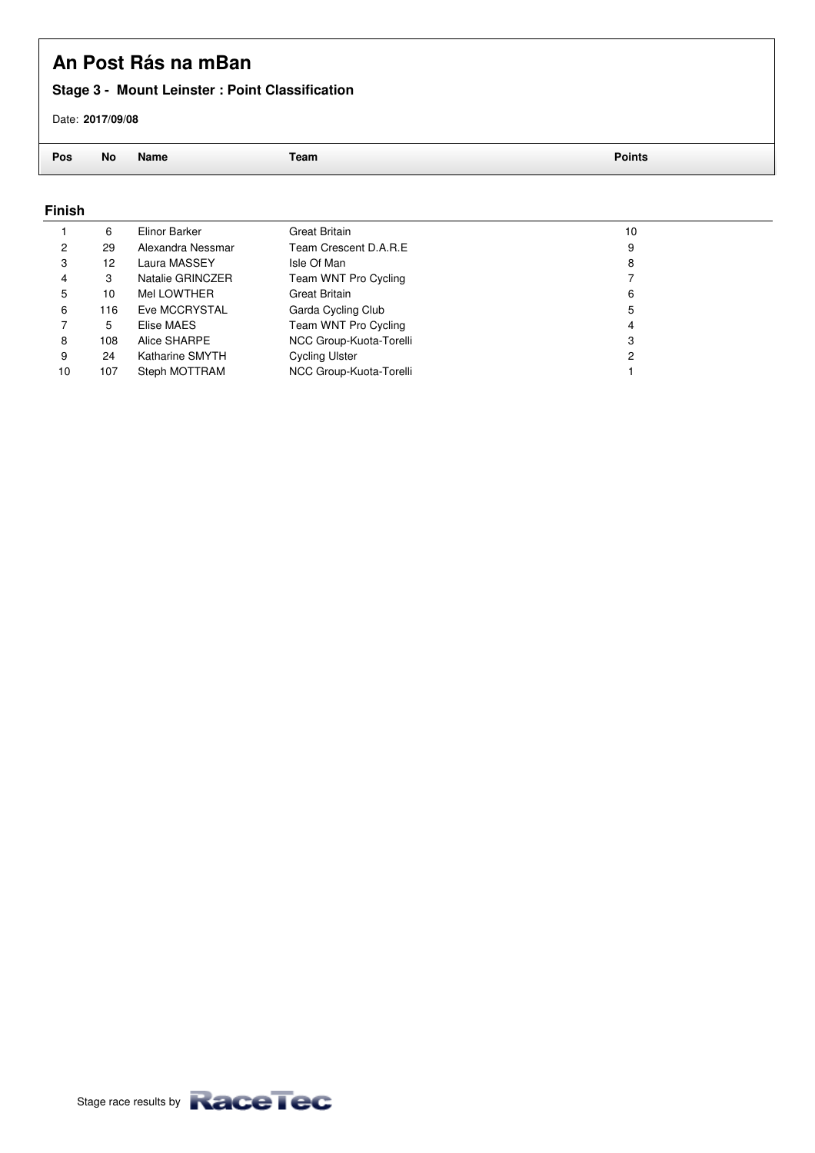#### **Stage 3 - Mount Leinster : Point Classification**

Date: **2017/09/08**

**Pos No Name Team Points**

#### **Finish**

|    | 6   | Elinor Barker     | Great Britain           | 10 |
|----|-----|-------------------|-------------------------|----|
| 2  | 29  | Alexandra Nessmar | Team Crescent D.A.R.E   | 9  |
| 3  | 12  | Laura MASSEY      | Isle Of Man             | 8  |
| 4  | 3   | Natalie GRINCZER  | Team WNT Pro Cycling    |    |
| 5  | 10  | Mel LOWTHER       | Great Britain           | 6  |
| 6  | 116 | Eve MCCRYSTAL     | Garda Cycling Club      | 5  |
|    | 5   | Elise MAES        | Team WNT Pro Cycling    | 4  |
| 8  | 108 | Alice SHARPE      | NCC Group-Kuota-Torelli | 3  |
| 9  | 24  | Katharine SMYTH   | <b>Cycling Ulster</b>   | 2  |
| 10 | 107 | Steph MOTTRAM     | NCC Group-Kuota-Torelli |    |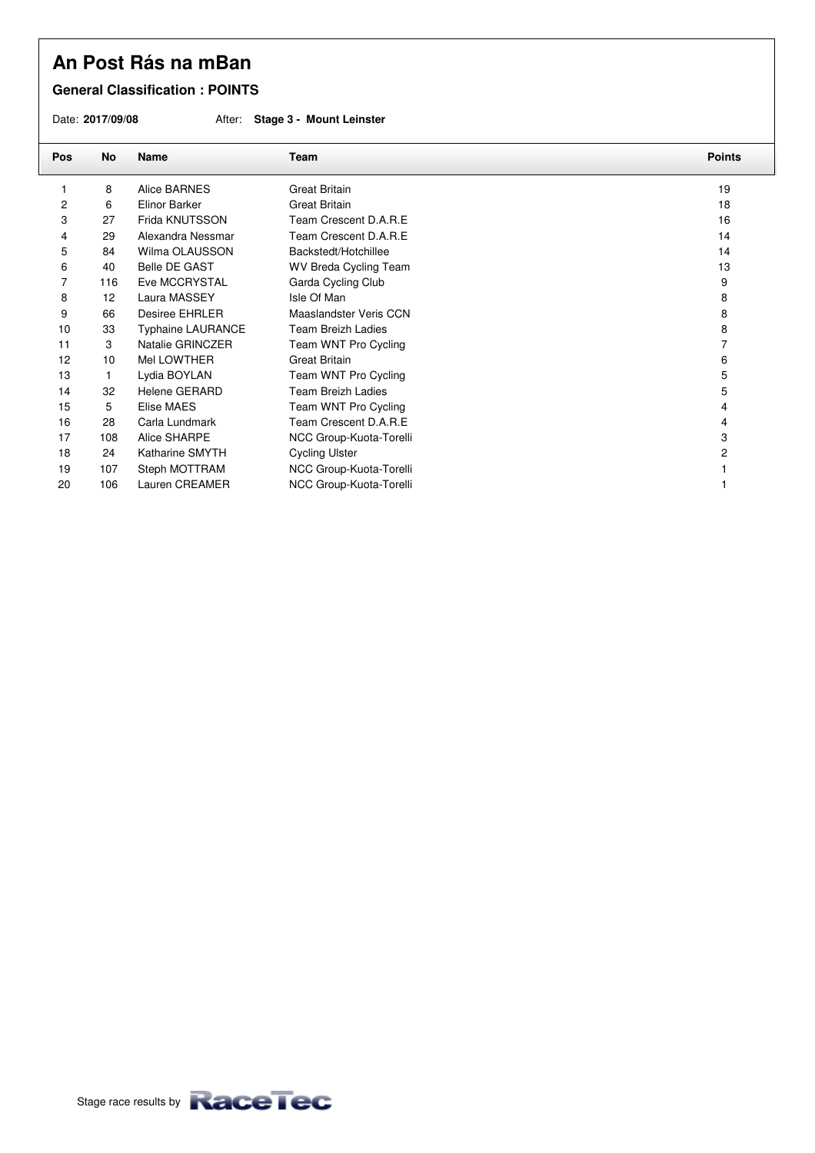#### **General Classification : POINTS**

Date: **2017/09/08** After: **Stage 3 - Mount Leinster**

| Pos | No           | Name                  | Team                         | <b>Points</b> |
|-----|--------------|-----------------------|------------------------------|---------------|
|     | 8            | Alice BARNES          | <b>Great Britain</b>         | 19            |
| 2   | 6            | Elinor Barker         | <b>Great Britain</b>         | 18            |
| 3   | 27           | Frida KNUTSSON        | Team Crescent D.A.R.E        | 16            |
| 4   | 29           | Alexandra Nessmar     | Team Crescent D.A.R.E        | 14            |
| 5   | 84           | Wilma OLAUSSON        | Backstedt/Hotchillee         | 14            |
| 6   | 40           | <b>Belle DE GAST</b>  | <b>WV Breda Cycling Team</b> | 13            |
| 7   | 116          | Eve MCCRYSTAL         | Garda Cycling Club           | 9             |
| 8   | 12           | Laura MASSEY          | Isle Of Man                  | 8             |
| 9   | 66           | <b>Desiree EHRLER</b> | Maaslandster Veris CCN       | 8             |
| 10  | 33           | Typhaine LAURANCE     | <b>Team Breizh Ladies</b>    | 8             |
| 11  | 3            | Natalie GRINCZER      | Team WNT Pro Cycling         |               |
| 12  | 10           | Mel LOWTHER           | <b>Great Britain</b>         | 6             |
| 13  | $\mathbf{1}$ | Lydia BOYLAN          | Team WNT Pro Cycling         | 5             |
| 14  | 32           | Helene GERARD         | <b>Team Breizh Ladies</b>    | 5             |
| 15  | 5            | Elise MAES            | Team WNT Pro Cycling         |               |
| 16  | 28           | Carla Lundmark        | Team Crescent D.A.R.E        | 4             |
| 17  | 108          | Alice SHARPE          | NCC Group-Kuota-Torelli      | 3             |
| 18  | 24           | Katharine SMYTH       | <b>Cycling Ulster</b>        | 2             |
| 19  | 107          | Steph MOTTRAM         | NCC Group-Kuota-Torelli      |               |
| 20  | 106          | Lauren CREAMER        | NCC Group-Kuota-Torelli      |               |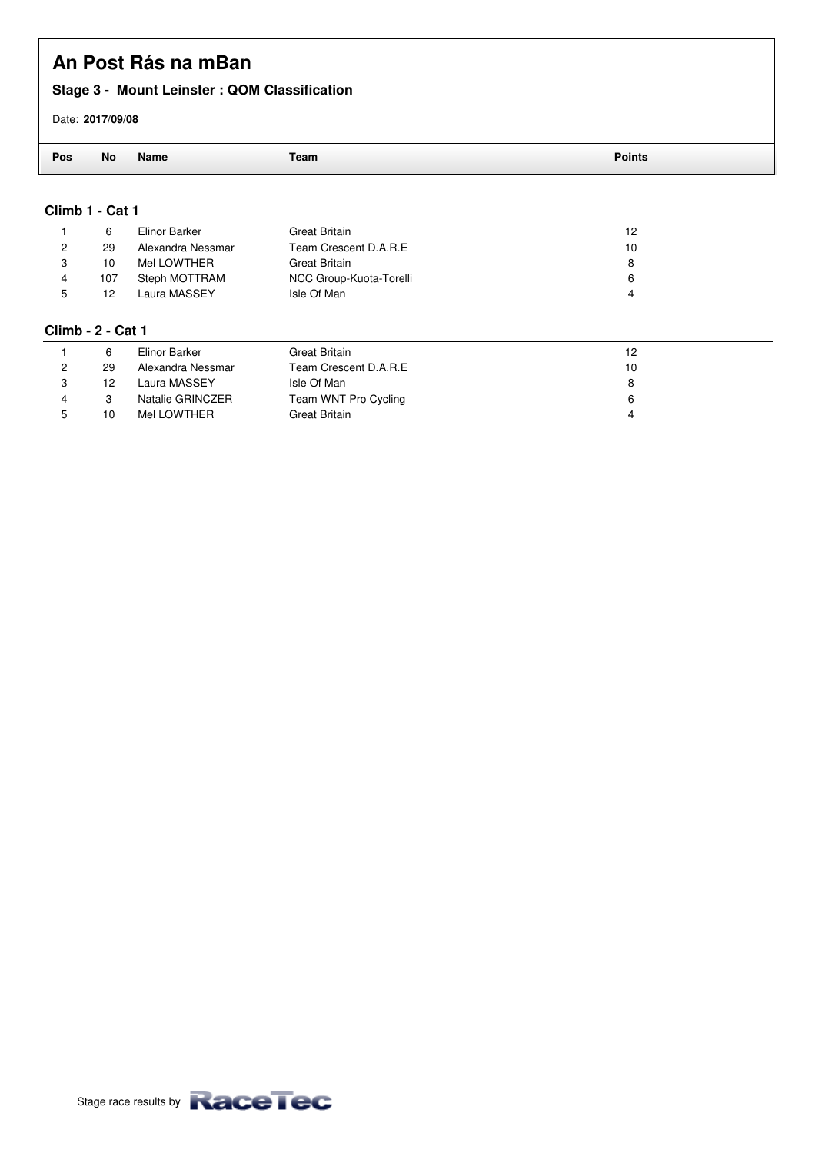#### **Stage 3 - Mount Leinster : QOM Classification**

#### Date: **2017/09/08**

| 'OS | No<br>__ | Namı | eam | 011111 |
|-----|----------|------|-----|--------|

#### **Climb 1 - Cat 1**

|   | 6                        | Elinor Barker     | Great Britain           | 12 |  |  |  |  |
|---|--------------------------|-------------------|-------------------------|----|--|--|--|--|
| ົ | 29                       | Alexandra Nessmar | Team Crescent D.A.R.E   | 10 |  |  |  |  |
| 3 | 10                       | Mel LOWTHER       | Great Britain           | 8  |  |  |  |  |
| 4 | 107                      | Steph MOTTRAM     | NCC Group-Kuota-Torelli | 6  |  |  |  |  |
| 5 | 12                       | Laura MASSEY      | Isle Of Man             | 4  |  |  |  |  |
|   | <b>Climb - 2 - Cat 1</b> |                   |                         |    |  |  |  |  |

| 6  | Elinor Barker     | Great Britain         | 12 |
|----|-------------------|-----------------------|----|
| 29 | Alexandra Nessmar | Team Crescent D.A.R.E | 10 |
| 12 | Laura MASSEY      | Isle Of Man           | 8  |
|    | Natalie GRINCZER  | Team WNT Pro Cycling  | 6  |
| 10 | Mel LOWTHER       | Great Britain         |    |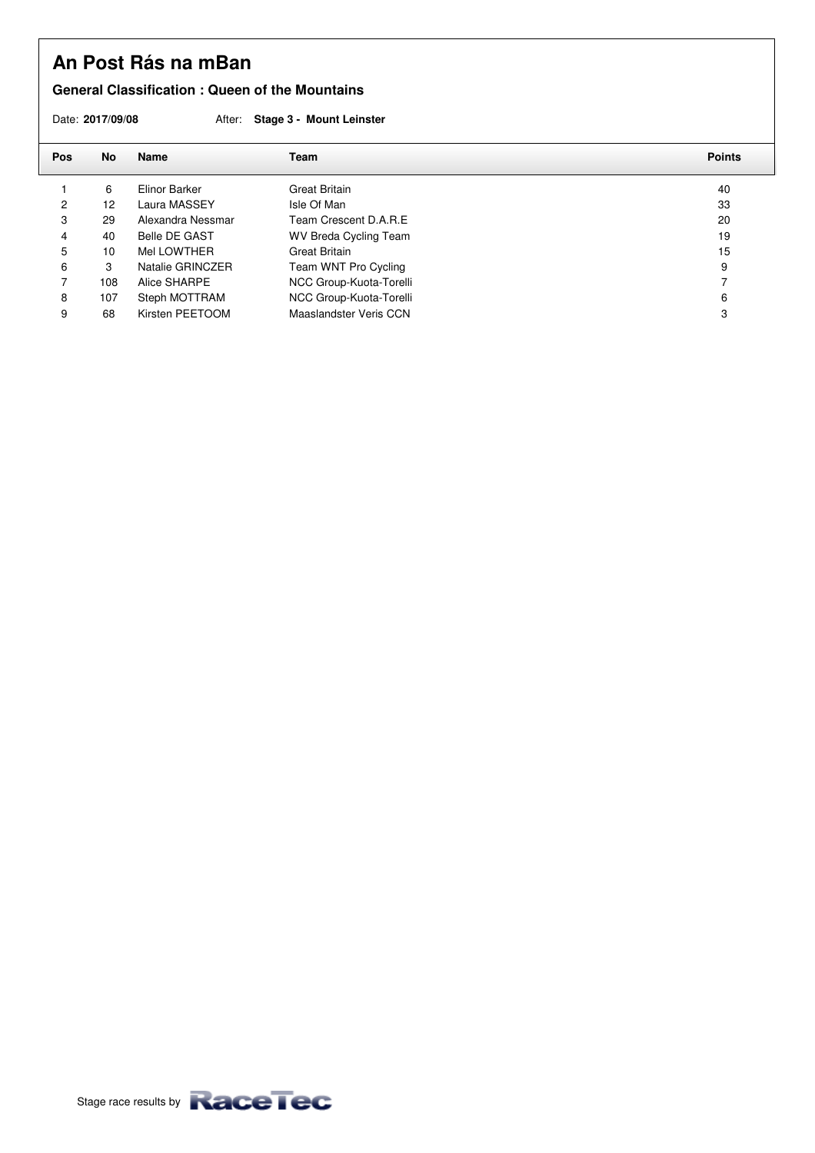#### **General Classification : Queen of the Mountains**

Date: **2017/09/08** After: **Stage 3 - Mount Leinster**

| Pos | No  | <b>Name</b>          | Team                         | <b>Points</b> |
|-----|-----|----------------------|------------------------------|---------------|
|     | 6   | Elinor Barker        | <b>Great Britain</b>         | 40            |
| 2   | 12  | Laura MASSEY         | Isle Of Man                  | 33            |
| 3   | 29  | Alexandra Nessmar    | Team Crescent D.A.R.E        | 20            |
| 4   | 40  | <b>Belle DE GAST</b> | <b>WV Breda Cycling Team</b> | 19            |
| 5   | 10  | Mel LOWTHER          | Great Britain                | 15            |
| 6   | 3   | Natalie GRINCZER     | Team WNT Pro Cycling         | 9             |
|     | 108 | Alice SHARPE         | NCC Group-Kuota-Torelli      |               |
| 8   | 107 | Steph MOTTRAM        | NCC Group-Kuota-Torelli      | 6             |
| 9   | 68  | Kirsten PEETOOM      | Maaslandster Veris CCN       | 3             |

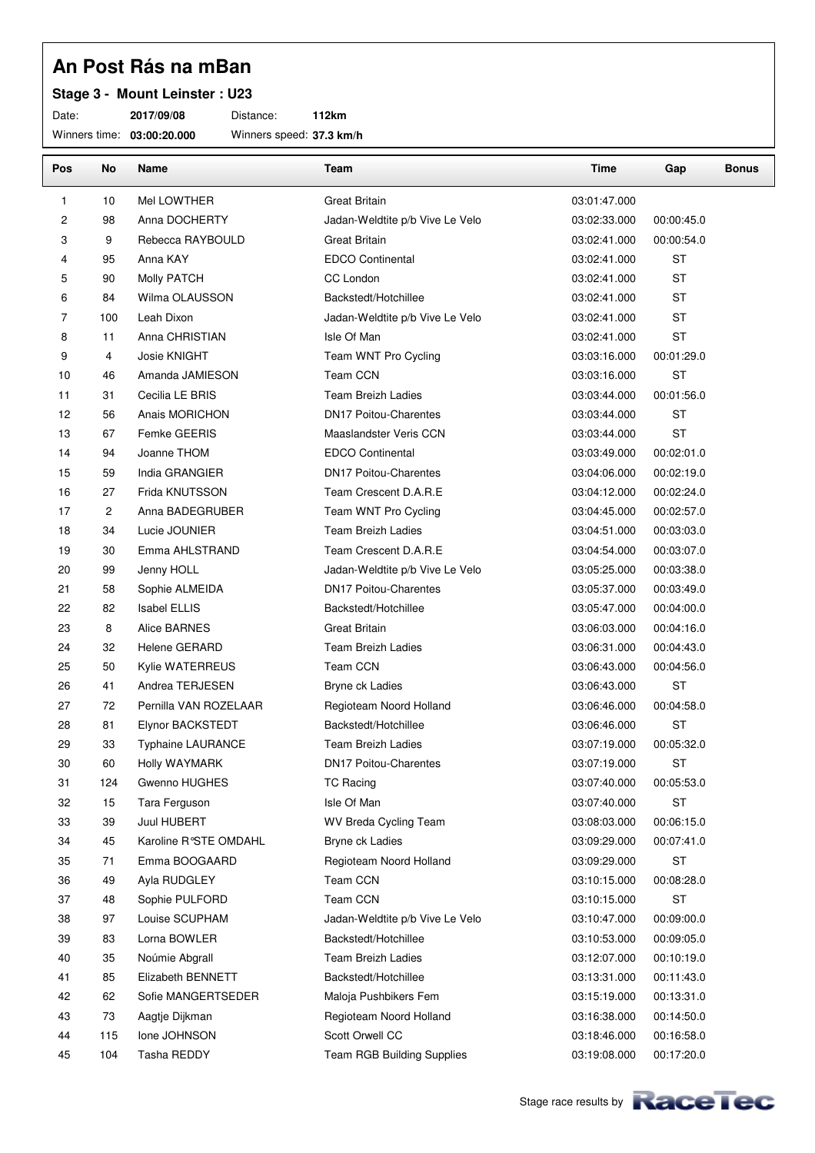#### **Stage 3 - Mount Leinster : U23**

Date: **2017/09/08** Distance: **112km**

| Pos | No             | Name                     | Team                            | Time         | Gap        | <b>Bonus</b> |
|-----|----------------|--------------------------|---------------------------------|--------------|------------|--------------|
| 1   | 10             | Mel LOWTHER              | <b>Great Britain</b>            | 03:01:47.000 |            |              |
| 2   | 98             | Anna DOCHERTY            | Jadan-Weldtite p/b Vive Le Velo | 03:02:33.000 | 00:00:45.0 |              |
| 3   | 9              | Rebecca RAYBOULD         | Great Britain                   | 03:02:41.000 | 00:00:54.0 |              |
| 4   | 95             | Anna KAY                 | <b>EDCO Continental</b>         | 03:02:41.000 | <b>ST</b>  |              |
| 5   | 90             | <b>Molly PATCH</b>       | CC London                       | 03:02:41.000 | <b>ST</b>  |              |
| 6   | 84             | Wilma OLAUSSON           | Backstedt/Hotchillee            | 03:02:41.000 | <b>ST</b>  |              |
| 7   | 100            | Leah Dixon               | Jadan-Weldtite p/b Vive Le Velo | 03:02:41.000 | <b>ST</b>  |              |
| 8   | 11             | Anna CHRISTIAN           | Isle Of Man                     | 03:02:41.000 | <b>ST</b>  |              |
| 9   | 4              | Josie KNIGHT             | Team WNT Pro Cycling            | 03:03:16.000 | 00:01:29.0 |              |
| 10  | 46             | Amanda JAMIESON          | <b>Team CCN</b>                 | 03:03:16.000 | <b>ST</b>  |              |
| 11  | 31             | Cecilia LE BRIS          | <b>Team Breizh Ladies</b>       | 03:03:44.000 | 00:01:56.0 |              |
| 12  | 56             | Anais MORICHON           | <b>DN17 Poitou-Charentes</b>    | 03:03:44.000 | <b>ST</b>  |              |
| 13  | 67             | Femke GEERIS             | Maaslandster Veris CCN          | 03:03:44.000 | <b>ST</b>  |              |
| 14  | 94             | Joanne THOM              | <b>EDCO Continental</b>         | 03:03:49.000 | 00:02:01.0 |              |
| 15  | 59             | India GRANGIER           | <b>DN17 Poitou-Charentes</b>    | 03:04:06.000 | 00:02:19.0 |              |
| 16  | 27             | Frida KNUTSSON           | Team Crescent D.A.R.E           | 03:04:12.000 | 00:02:24.0 |              |
| 17  | $\overline{c}$ | Anna BADEGRUBER          | Team WNT Pro Cycling            | 03:04:45.000 | 00:02:57.0 |              |
| 18  | 34             | Lucie JOUNIER            | <b>Team Breizh Ladies</b>       | 03:04:51.000 | 00:03:03.0 |              |
| 19  | 30             | Emma AHLSTRAND           | Team Crescent D.A.R.E           | 03:04:54.000 | 00:03:07.0 |              |
| 20  | 99             | Jenny HOLL               | Jadan-Weldtite p/b Vive Le Velo | 03:05:25.000 | 00:03:38.0 |              |
| 21  | 58             | Sophie ALMEIDA           | <b>DN17 Poitou-Charentes</b>    | 03:05:37.000 | 00:03:49.0 |              |
| 22  | 82             | <b>Isabel ELLIS</b>      | Backstedt/Hotchillee            | 03:05:47.000 | 00:04:00.0 |              |
| 23  | 8              | Alice BARNES             | <b>Great Britain</b>            | 03:06:03.000 | 00:04:16.0 |              |
| 24  | 32             | Helene GERARD            | <b>Team Breizh Ladies</b>       | 03:06:31.000 | 00:04:43.0 |              |
| 25  | 50             | Kylie WATERREUS          | Team CCN                        | 03:06:43.000 | 00:04:56.0 |              |
| 26  | 41             | Andrea TERJESEN          | Bryne ck Ladies                 | 03:06:43.000 | <b>ST</b>  |              |
| 27  | 72             | Pernilla VAN ROZELAAR    | Regioteam Noord Holland         | 03:06:46.000 | 00:04:58.0 |              |
| 28  | 81             | Elynor BACKSTEDT         | Backstedt/Hotchillee            | 03:06:46.000 | <b>ST</b>  |              |
| 29  | 33             | <b>Typhaine LAURANCE</b> | <b>Team Breizh Ladies</b>       | 03:07:19.000 | 00:05:32.0 |              |
| 30  | 60             | <b>Holly WAYMARK</b>     | <b>DN17 Poitou-Charentes</b>    | 03:07:19.000 | <b>ST</b>  |              |
| 31  | 124            | Gwenno HUGHES            | <b>TC Racing</b>                | 03:07:40.000 | 00:05:53.0 |              |
| 32  | 15             | Tara Ferguson            | Isle Of Man                     | 03:07:40.000 | <b>ST</b>  |              |
| 33  | 39             | Juul HUBERT              | WV Breda Cycling Team           | 03:08:03.000 | 00:06:15.0 |              |
| 34  | 45             | Karoline R°STE OMDAHL    | Bryne ck Ladies                 | 03:09:29.000 | 00:07:41.0 |              |
| 35  | 71             | Emma BOOGAARD            | Regioteam Noord Holland         | 03:09:29.000 | <b>ST</b>  |              |
| 36  | 49             | Ayla RUDGLEY             | <b>Team CCN</b>                 | 03:10:15.000 | 00:08:28.0 |              |
| 37  | 48             | Sophie PULFORD           | Team CCN                        | 03:10:15.000 | ST         |              |
| 38  | 97             | Louise SCUPHAM           | Jadan-Weldtite p/b Vive Le Velo | 03:10:47.000 | 00:09:00.0 |              |
| 39  | 83             | Lorna BOWLER             | Backstedt/Hotchillee            | 03:10:53.000 | 00:09:05.0 |              |
| 40  | 35             | Noúmie Abgrall           | Team Breizh Ladies              | 03:12:07.000 | 00:10:19.0 |              |
| 41  | 85             | Elizabeth BENNETT        | Backstedt/Hotchillee            | 03:13:31.000 | 00:11:43.0 |              |
| 42  | 62             | Sofie MANGERTSEDER       | Maloja Pushbikers Fem           | 03:15:19.000 | 00:13:31.0 |              |
| 43  | 73             | Aagtje Dijkman           | Regioteam Noord Holland         | 03:16:38.000 | 00:14:50.0 |              |
| 44  | 115            | Ione JOHNSON             | Scott Orwell CC                 | 03:18:46.000 | 00:16:58.0 |              |
| 45  | 104            | Tasha REDDY              | Team RGB Building Supplies      | 03:19:08.000 | 00:17:20.0 |              |

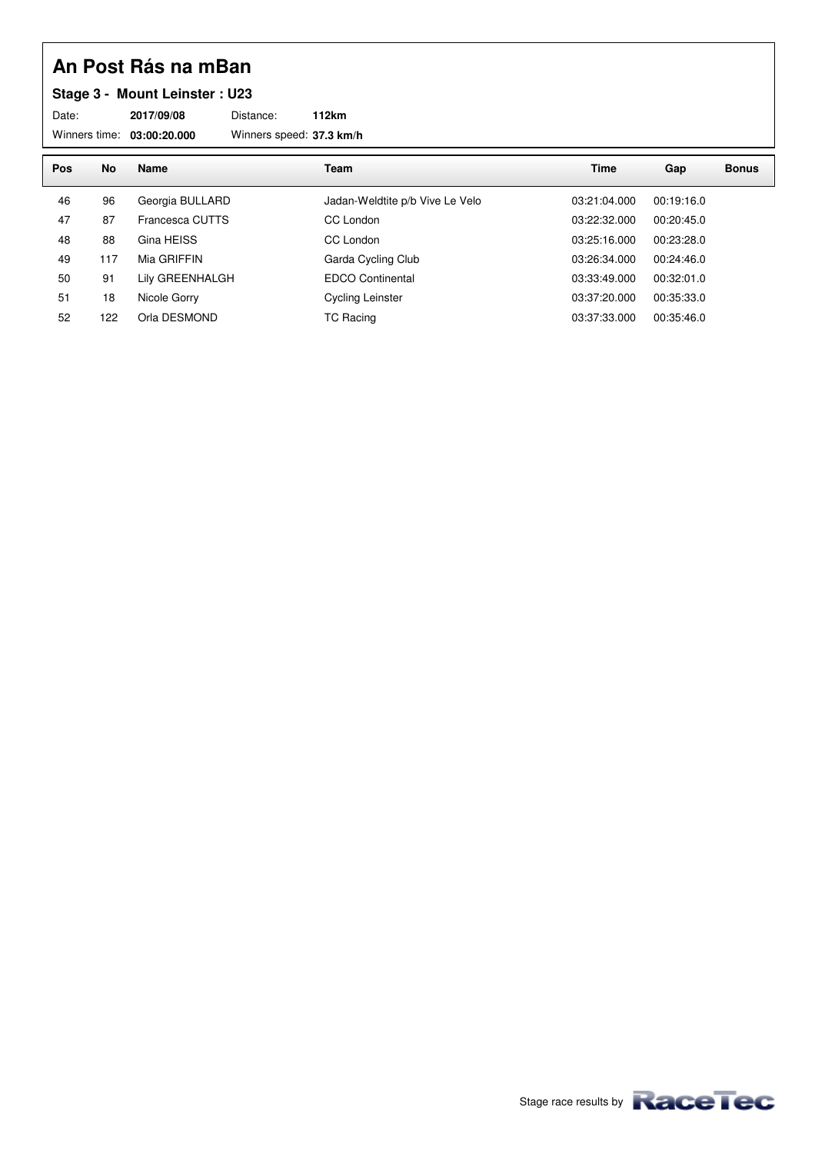### **Stage 3 - Mount Leinster : U23**

| Date:                      | 2017/09/08 | Distance:                | 112km |
|----------------------------|------------|--------------------------|-------|
| Winners time: 03:00:20.000 |            | Winners speed: 37.3 km/h |       |

| Pos | No  | <b>Name</b>     | <b>Team</b>                     | <b>Time</b>  | Gap        | <b>Bonus</b> |
|-----|-----|-----------------|---------------------------------|--------------|------------|--------------|
| 46  | 96  | Georgia BULLARD | Jadan-Weldtite p/b Vive Le Velo | 03:21:04.000 | 00:19:16.0 |              |
| 47  | 87  | Francesca CUTTS | CC London                       | 03:22:32.000 | 00:20:45.0 |              |
| 48  | 88  | Gina HEISS      | CC London                       | 03:25:16.000 | 00:23:28.0 |              |
| 49  | 117 | Mia GRIFFIN     | Garda Cycling Club              | 03:26:34.000 | 00:24:46.0 |              |
| 50  | 91  | Lily GREENHALGH | <b>EDCO Continental</b>         | 03:33:49.000 | 00:32:01.0 |              |
| 51  | 18  | Nicole Gorry    | <b>Cycling Leinster</b>         | 03:37:20.000 | 00:35:33.0 |              |
| 52  | 122 | Orla DESMOND    | TC Racing                       | 03:37:33.000 | 00:35:46.0 |              |

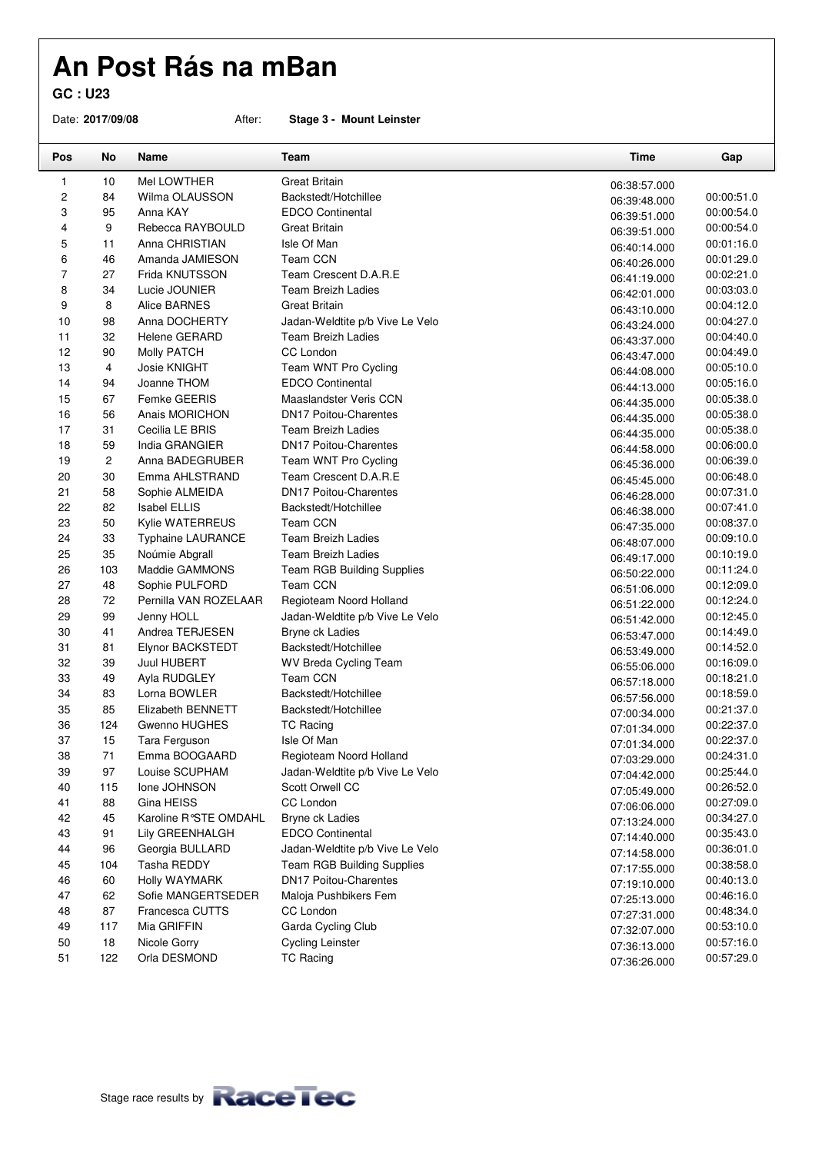**GC : U23**

Date: **2017/09/08** After: **Stage 3 - Mount Leinster**

| Pos            | No  | Name                     | Team                              | Time                         | Gap        |
|----------------|-----|--------------------------|-----------------------------------|------------------------------|------------|
| $\mathbf{1}$   | 10  | Mel LOWTHER              | <b>Great Britain</b>              | 06:38:57.000                 |            |
| $\overline{c}$ | 84  | Wilma OLAUSSON           | Backstedt/Hotchillee              | 06:39:48.000                 | 00:00:51.0 |
| 3              | 95  | Anna KAY                 | <b>EDCO Continental</b>           | 06:39:51.000                 | 00:00:54.0 |
| 4              | 9   | Rebecca RAYBOULD         | Great Britain                     | 06:39:51.000                 | 00:00:54.0 |
| 5              | 11  | Anna CHRISTIAN           | Isle Of Man                       | 06:40:14.000                 | 00:01:16.0 |
| 6              | 46  | Amanda JAMIESON          | <b>Team CCN</b>                   | 06:40:26.000                 | 00:01:29.0 |
| $\overline{7}$ | 27  | Frida KNUTSSON           | Team Crescent D.A.R.E             | 06:41:19.000                 | 00:02:21.0 |
| 8              | 34  | Lucie JOUNIER            | <b>Team Breizh Ladies</b>         | 06:42:01.000                 | 00:03:03.0 |
| 9              | 8   | <b>Alice BARNES</b>      | Great Britain                     | 06:43:10.000                 | 00:04:12.0 |
| 10             | 98  | Anna DOCHERTY            | Jadan-Weldtite p/b Vive Le Velo   | 06:43:24.000                 | 00:04:27.0 |
| 11             | 32  | <b>Helene GERARD</b>     | <b>Team Breizh Ladies</b>         | 06:43:37.000                 | 00:04:40.0 |
| 12             | 90  | Molly PATCH              | CC London                         | 06:43:47.000                 | 00:04:49.0 |
| 13             | 4   | Josie KNIGHT             | Team WNT Pro Cycling              | 06:44:08.000                 | 00:05:10.0 |
| 14             | 94  | Joanne THOM              | <b>EDCO Continental</b>           | 06:44:13.000                 | 00:05:16.0 |
| 15             | 67  | Femke GEERIS             | Maaslandster Veris CCN            | 06:44:35.000                 | 00:05:38.0 |
| 16             | 56  | Anais MORICHON           | <b>DN17 Poitou-Charentes</b>      | 06:44:35.000                 | 00:05:38.0 |
| 17             | 31  | Cecilia LE BRIS          | <b>Team Breizh Ladies</b>         | 06:44:35.000                 | 00:05:38.0 |
| 18             | 59  | India GRANGIER           | <b>DN17 Poitou-Charentes</b>      | 06:44:58.000                 | 00:06:00.0 |
| 19             | 2   | Anna BADEGRUBER          | Team WNT Pro Cycling              | 06:45:36.000                 | 00:06:39.0 |
| 20             | 30  | Emma AHLSTRAND           | Team Crescent D.A.R.E             | 06:45:45.000                 | 00:06:48.0 |
| 21             | 58  | Sophie ALMEIDA           | <b>DN17 Poitou-Charentes</b>      | 06:46:28.000                 | 00:07:31.0 |
| 22             | 82  | <b>Isabel ELLIS</b>      | Backstedt/Hotchillee              | 06:46:38.000                 | 00:07:41.0 |
| 23             | 50  | Kylie WATERREUS          | Team CCN                          | 06:47:35.000                 | 00:08:37.0 |
| 24             | 33  | <b>Typhaine LAURANCE</b> | <b>Team Breizh Ladies</b>         | 06:48:07.000                 | 00:09:10.0 |
| 25             | 35  | Noúmie Abgrall           | <b>Team Breizh Ladies</b>         | 06:49:17.000                 | 00:10:19.0 |
| 26             | 103 | Maddie GAMMONS           | <b>Team RGB Building Supplies</b> | 06:50:22.000                 | 00:11:24.0 |
| 27             | 48  | Sophie PULFORD           | Team CCN                          | 06:51:06.000                 | 00:12:09.0 |
| 28             | 72  | Pernilla VAN ROZELAAR    | Regioteam Noord Holland           |                              | 00:12:24.0 |
| 29             | 99  | Jenny HOLL               | Jadan-Weldtite p/b Vive Le Velo   | 06:51:22.000<br>06:51:42.000 | 00:12:45.0 |
| 30             | 41  | Andrea TERJESEN          | Bryne ck Ladies                   | 06:53:47.000                 | 00:14:49.0 |
| 31             | 81  | Elynor BACKSTEDT         | Backstedt/Hotchillee              | 06:53:49.000                 | 00:14:52.0 |
| 32             | 39  | <b>Juul HUBERT</b>       | WV Breda Cycling Team             |                              | 00:16:09.0 |
| 33             | 49  | Ayla RUDGLEY             | Team CCN                          | 06:55:06.000                 | 00:18:21.0 |
| 34             | 83  | Lorna BOWLER             | Backstedt/Hotchillee              | 06:57:18.000                 | 00:18:59.0 |
| 35             | 85  | Elizabeth BENNETT        | Backstedt/Hotchillee              | 06:57:56.000                 | 00:21:37.0 |
| 36             | 124 | <b>Gwenno HUGHES</b>     | <b>TC Racing</b>                  | 07:00:34.000                 | 00:22:37.0 |
| 37             | 15  | Tara Ferguson            | Isle Of Man                       | 07:01:34.000                 | 00:22:37.0 |
| 38             | 71  | Emma BOOGAARD            | Regioteam Noord Holland           | 07:01:34.000                 | 00:24:31.0 |
| 39             | 97  | Louise SCUPHAM           | Jadan-Weldtite p/b Vive Le Velo   | 07:03:29.000                 | 00:25:44.0 |
| 40             | 115 | Ione JOHNSON             | Scott Orwell CC                   | 07:04:42.000                 | 00:26:52.0 |
| 41             | 88  | Gina HEISS               | CC London                         | 07:05:49.000                 | 00:27:09.0 |
| 42             | 45  | Karoline R°STE OMDAHL    | <b>Bryne ck Ladies</b>            | 07:06:06.000                 | 00:34:27.0 |
| 43             | 91  | <b>Lily GREENHALGH</b>   | <b>EDCO Continental</b>           | 07:13:24.000                 | 00:35:43.0 |
| 44             | 96  | Georgia BULLARD          | Jadan-Weldtite p/b Vive Le Velo   | 07:14:40.000                 | 00:36:01.0 |
| 45             | 104 | Tasha REDDY              | <b>Team RGB Building Supplies</b> | 07:14:58.000                 | 00:38:58.0 |
| 46             | 60  | Holly WAYMARK            | <b>DN17 Poitou-Charentes</b>      | 07:17:55.000                 | 00:40:13.0 |
| 47             | 62  | Sofie MANGERTSEDER       | Maloja Pushbikers Fem             | 07:19:10.000                 | 00:46:16.0 |
| 48             | 87  | Francesca CUTTS          | CC London                         | 07:25:13.000                 | 00:48:34.0 |
| 49             | 117 | Mia GRIFFIN              | Garda Cycling Club                | 07:27:31.000                 | 00:53:10.0 |
| 50             | 18  | Nicole Gorry             | <b>Cycling Leinster</b>           | 07:32:07.000                 | 00:57:16.0 |
|                | 122 | Orla DESMOND             | <b>TC Racing</b>                  | 07:36:13.000                 | 00:57:29.0 |
| 51             |     |                          |                                   | 07:36:26.000                 |            |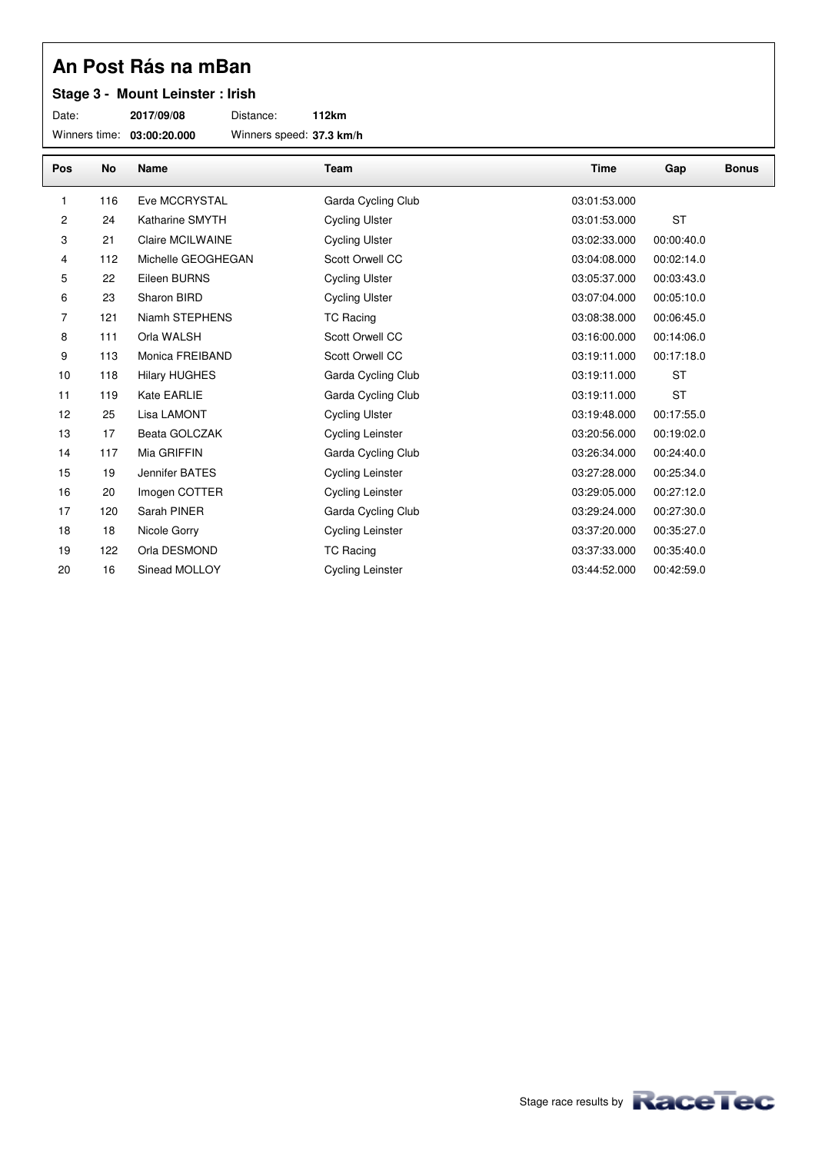#### **Stage 3 - Mount Leinster : Irish**

| Date:                      | 2017/09/08 | Distance:                | 112km |
|----------------------------|------------|--------------------------|-------|
| Winners time: 03:00:20.000 |            | Winners speed: 37.3 km/h |       |

| Pos            | No  | <b>Name</b>          | Team                    | <b>Time</b>  | Gap        | <b>Bonus</b> |
|----------------|-----|----------------------|-------------------------|--------------|------------|--------------|
| 1              | 116 | Eve MCCRYSTAL        | Garda Cycling Club      | 03:01:53.000 |            |              |
| 2              | 24  | Katharine SMYTH      | <b>Cycling Ulster</b>   | 03:01:53.000 | <b>ST</b>  |              |
| 3              | 21  | Claire MCILWAINE     | <b>Cycling Ulster</b>   | 03:02:33.000 | 00:00:40.0 |              |
| 4              | 112 | Michelle GEOGHEGAN   | Scott Orwell CC         | 03:04:08.000 | 00:02:14.0 |              |
| 5              | 22  | Eileen BURNS         | <b>Cycling Ulster</b>   | 03:05:37.000 | 00:03:43.0 |              |
| 6              | 23  | Sharon BIRD          | <b>Cycling Ulster</b>   | 03:07:04.000 | 00:05:10.0 |              |
| $\overline{7}$ | 121 | Niamh STEPHENS       | <b>TC Racing</b>        | 03:08:38.000 | 00:06:45.0 |              |
| 8              | 111 | Orla WALSH           | Scott Orwell CC         | 03:16:00.000 | 00:14:06.0 |              |
| 9              | 113 | Monica FREIBAND      | Scott Orwell CC         | 03:19:11.000 | 00:17:18.0 |              |
| 10             | 118 | <b>Hilary HUGHES</b> | Garda Cycling Club      | 03:19:11.000 | <b>ST</b>  |              |
| 11             | 119 | Kate EARLIE          | Garda Cycling Club      | 03:19:11.000 | <b>ST</b>  |              |
| 12             | 25  | Lisa LAMONT          | <b>Cycling Ulster</b>   | 03:19:48.000 | 00:17:55.0 |              |
| 13             | 17  | Beata GOLCZAK        | <b>Cycling Leinster</b> | 03:20:56.000 | 00:19:02.0 |              |
| 14             | 117 | Mia GRIFFIN          | Garda Cycling Club      | 03:26:34.000 | 00:24:40.0 |              |
| 15             | 19  | Jennifer BATES       | <b>Cycling Leinster</b> | 03:27:28.000 | 00:25:34.0 |              |
| 16             | 20  | Imogen COTTER        | <b>Cycling Leinster</b> | 03:29:05.000 | 00:27:12.0 |              |
| 17             | 120 | Sarah PINER          | Garda Cycling Club      | 03:29:24.000 | 00:27:30.0 |              |
| 18             | 18  | Nicole Gorry         | <b>Cycling Leinster</b> | 03:37:20.000 | 00:35:27.0 |              |
| 19             | 122 | Orla DESMOND         | <b>TC Racing</b>        | 03:37:33.000 | 00:35:40.0 |              |
| 20             | 16  | Sinead MOLLOY        | <b>Cycling Leinster</b> | 03:44:52.000 | 00:42:59.0 |              |

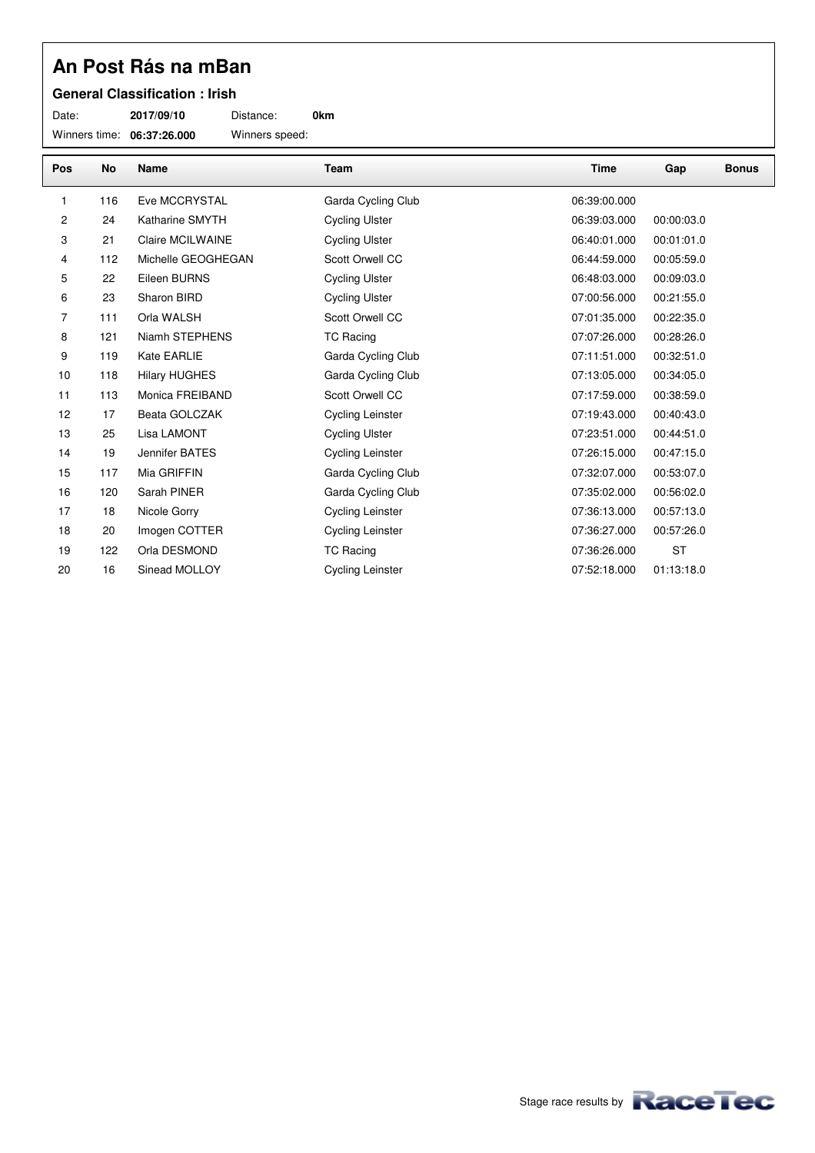#### **General Classification : Irish**

| Date:                      | 2017/09/10 | Distance:      |
|----------------------------|------------|----------------|
| Winners time: 06:37:26.000 |            | Winners speed: |

Date: **2017/09/10** Distance: **0km**

| Pos | No  | <b>Name</b>          | Team                    | <b>Time</b>  | Gap        | <b>Bonus</b> |
|-----|-----|----------------------|-------------------------|--------------|------------|--------------|
| 1   | 116 | Eve MCCRYSTAL        | Garda Cycling Club      | 06:39:00.000 |            |              |
| 2   | 24  | Katharine SMYTH      | <b>Cycling Ulster</b>   | 06:39:03.000 | 00:00:03.0 |              |
| 3   | 21  | Claire MCILWAINE     | <b>Cycling Ulster</b>   | 06:40:01.000 | 00:01:01.0 |              |
| 4   | 112 | Michelle GEOGHEGAN   | Scott Orwell CC         | 06:44:59.000 | 00:05:59.0 |              |
| 5   | 22  | Eileen BURNS         | <b>Cycling Ulster</b>   | 06:48:03.000 | 00:09:03.0 |              |
| 6   | 23  | Sharon BIRD          | <b>Cycling Ulster</b>   | 07:00:56.000 | 00:21:55.0 |              |
| 7   | 111 | Orla WALSH           | Scott Orwell CC         | 07:01:35.000 | 00:22:35.0 |              |
| 8   | 121 | Niamh STEPHENS       | <b>TC Racing</b>        | 07:07:26.000 | 00:28:26.0 |              |
| 9   | 119 | Kate EARLIE          | Garda Cycling Club      | 07:11:51.000 | 00:32:51.0 |              |
| 10  | 118 | <b>Hilary HUGHES</b> | Garda Cycling Club      | 07:13:05.000 | 00:34:05.0 |              |
| 11  | 113 | Monica FREIBAND      | Scott Orwell CC         | 07:17:59.000 | 00:38:59.0 |              |
| 12  | 17  | Beata GOLCZAK        | <b>Cycling Leinster</b> | 07:19:43.000 | 00:40:43.0 |              |
| 13  | 25  | Lisa LAMONT          | <b>Cycling Ulster</b>   | 07:23:51.000 | 00:44:51.0 |              |
| 14  | 19  | Jennifer BATES       | <b>Cycling Leinster</b> | 07:26:15.000 | 00:47:15.0 |              |
| 15  | 117 | Mia GRIFFIN          | Garda Cycling Club      | 07:32:07.000 | 00:53:07.0 |              |
| 16  | 120 | Sarah PINER          | Garda Cycling Club      | 07:35:02.000 | 00:56:02.0 |              |
| 17  | 18  | Nicole Gorry         | <b>Cycling Leinster</b> | 07:36:13.000 | 00:57:13.0 |              |
| 18  | 20  | Imogen COTTER        | <b>Cycling Leinster</b> | 07:36:27.000 | 00:57:26.0 |              |
| 19  | 122 | Orla DESMOND         | <b>TC Racing</b>        | 07:36:26.000 | <b>ST</b>  |              |
| 20  | 16  | Sinead MOLLOY        | <b>Cycling Leinster</b> | 07:52:18.000 | 01:13:18.0 |              |

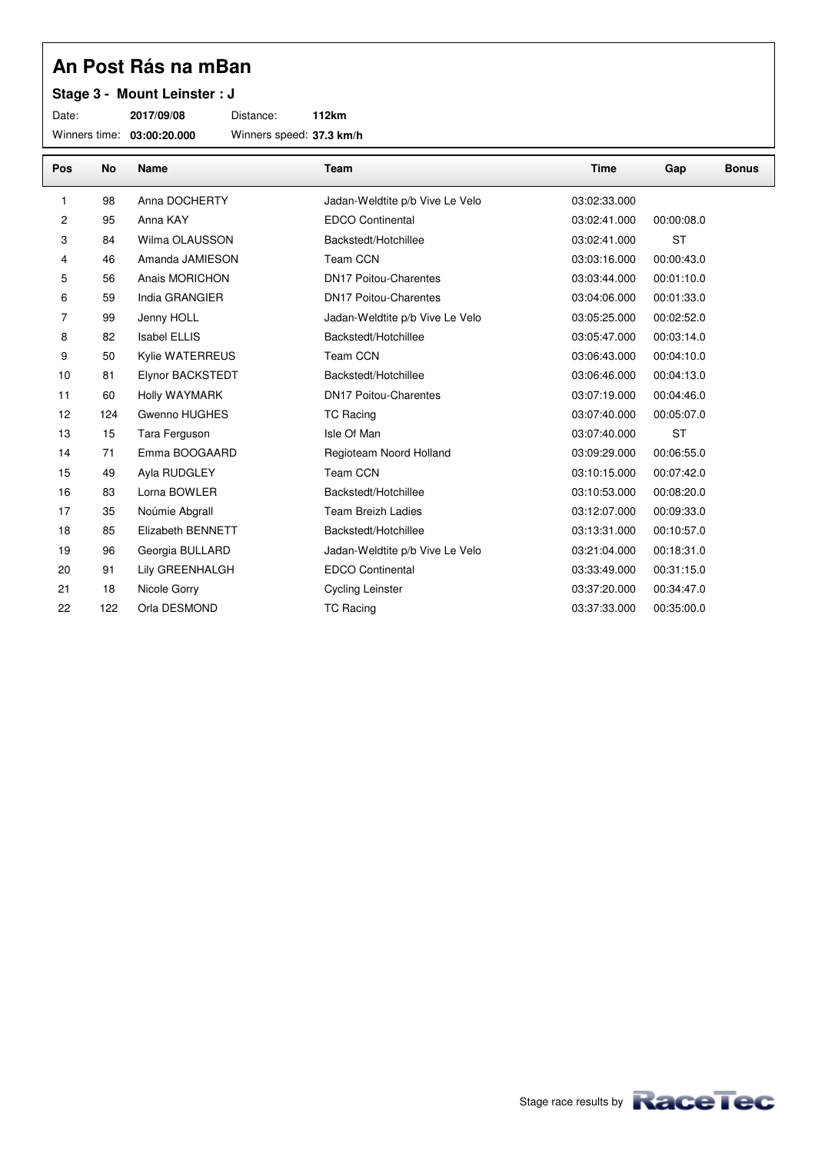#### **Stage 3 - Mount Leinster : J**

Date: **2017/09/08** Distance: **112km**

| Pos            | <b>No</b> | <b>Name</b>         | <b>Team</b>                     | <b>Time</b>  | Gap        | <b>Bonus</b> |
|----------------|-----------|---------------------|---------------------------------|--------------|------------|--------------|
| 1              | 98        | Anna DOCHERTY       | Jadan-Weldtite p/b Vive Le Velo | 03:02:33.000 |            |              |
| $\overline{c}$ | 95        | Anna KAY            | <b>EDCO Continental</b>         | 03:02:41.000 | 00:00:08.0 |              |
| 3              | 84        | Wilma OLAUSSON      | Backstedt/Hotchillee            | 03:02:41.000 | <b>ST</b>  |              |
| 4              | 46        | Amanda JAMIESON     | Team CCN                        | 03:03:16.000 | 00:00:43.0 |              |
| 5              | 56        | Anais MORICHON      | <b>DN17 Poitou-Charentes</b>    | 03:03:44.000 | 00:01:10.0 |              |
| 6              | 59        | India GRANGIER      | <b>DN17 Poitou-Charentes</b>    | 03:04:06.000 | 00:01:33.0 |              |
| 7              | 99        | Jenny HOLL          | Jadan-Weldtite p/b Vive Le Velo | 03:05:25.000 | 00:02:52.0 |              |
| 8              | 82        | <b>Isabel ELLIS</b> | Backstedt/Hotchillee            | 03:05:47.000 | 00:03:14.0 |              |
| 9              | 50        | Kylie WATERREUS     | Team CCN                        | 03:06:43.000 | 00:04:10.0 |              |
| 10             | 81        | Elynor BACKSTEDT    | Backstedt/Hotchillee            | 03:06:46.000 | 00:04:13.0 |              |
| 11             | 60        | Holly WAYMARK       | <b>DN17 Poitou-Charentes</b>    | 03:07:19.000 | 00:04:46.0 |              |
| 12             | 124       | Gwenno HUGHES       | <b>TC Racing</b>                | 03:07:40.000 | 00:05:07.0 |              |
| 13             | 15        | Tara Ferguson       | Isle Of Man                     | 03:07:40.000 | <b>ST</b>  |              |
| 14             | 71        | Emma BOOGAARD       | Regioteam Noord Holland         | 03:09:29.000 | 00:06:55.0 |              |
| 15             | 49        | Ayla RUDGLEY        | Team CCN                        | 03:10:15.000 | 00:07:42.0 |              |
| 16             | 83        | Lorna BOWLER        | Backstedt/Hotchillee            | 03:10:53.000 | 00:08:20.0 |              |
| 17             | 35        | Noúmie Abgrall      | <b>Team Breizh Ladies</b>       | 03:12:07.000 | 00:09:33.0 |              |
| 18             | 85        | Elizabeth BENNETT   | Backstedt/Hotchillee            | 03:13:31.000 | 00:10:57.0 |              |
| 19             | 96        | Georgia BULLARD     | Jadan-Weldtite p/b Vive Le Velo | 03:21:04.000 | 00:18:31.0 |              |
| 20             | 91        | Lily GREENHALGH     | <b>EDCO Continental</b>         | 03:33:49.000 | 00:31:15.0 |              |
| 21             | 18        | Nicole Gorry        | <b>Cycling Leinster</b>         | 03:37:20.000 | 00:34:47.0 |              |
| 22             | 122       | Orla DESMOND        | <b>TC Racing</b>                | 03:37:33.000 | 00:35:00.0 |              |
|                |           |                     |                                 |              |            |              |

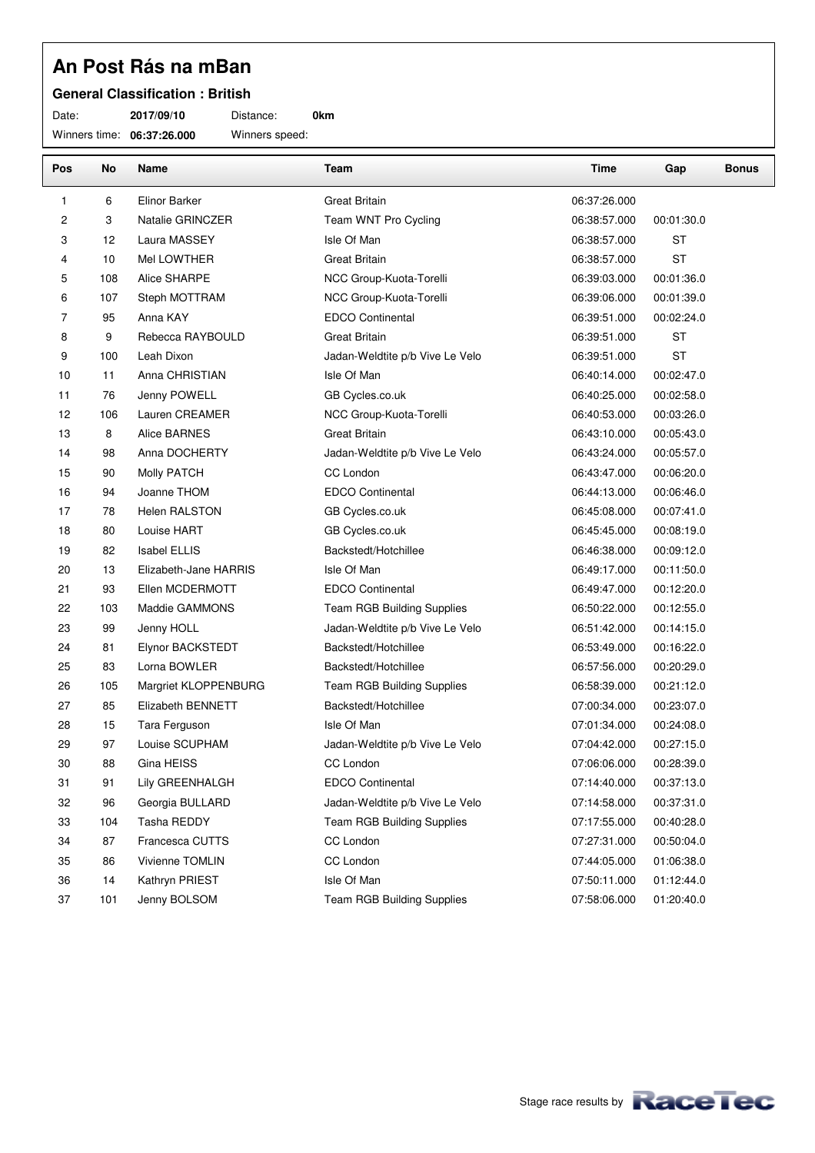#### **General Classification : British**

Date: **2017/09/10** Distance: **0km**

Winners time: **06:37:26.000** Winners speed:

| <b>Pos</b> | No  | Name                     | Team                            | Time         | Gap        | <b>Bonus</b> |
|------------|-----|--------------------------|---------------------------------|--------------|------------|--------------|
| 1          | 6   | Elinor Barker            | Great Britain                   | 06:37:26.000 |            |              |
| 2          | 3   | Natalie GRINCZER         | Team WNT Pro Cycling            | 06:38:57.000 | 00:01:30.0 |              |
| 3          | 12  | Laura MASSEY             | Isle Of Man                     | 06:38:57.000 | <b>ST</b>  |              |
| 4          | 10  | Mel LOWTHER              | <b>Great Britain</b>            | 06:38:57.000 | <b>ST</b>  |              |
| 5          | 108 | Alice SHARPE             | NCC Group-Kuota-Torelli         | 06:39:03.000 | 00:01:36.0 |              |
| 6          | 107 | Steph MOTTRAM            | NCC Group-Kuota-Torelli         | 06:39:06.000 | 00:01:39.0 |              |
| 7          | 95  | Anna KAY                 | <b>EDCO Continental</b>         | 06:39:51.000 | 00:02:24.0 |              |
| 8          | 9   | Rebecca RAYBOULD         | <b>Great Britain</b>            | 06:39:51.000 | <b>ST</b>  |              |
| 9          | 100 | Leah Dixon               | Jadan-Weldtite p/b Vive Le Velo | 06:39:51.000 | <b>ST</b>  |              |
| 10         | 11  | Anna CHRISTIAN           | Isle Of Man                     | 06:40:14.000 | 00:02:47.0 |              |
| 11         | 76  | Jenny POWELL             | GB Cycles.co.uk                 | 06:40:25.000 | 00:02:58.0 |              |
| 12         | 106 | Lauren CREAMER           | NCC Group-Kuota-Torelli         | 06:40:53.000 | 00:03:26.0 |              |
| 13         | 8   | <b>Alice BARNES</b>      | <b>Great Britain</b>            | 06:43:10.000 | 00:05:43.0 |              |
| 14         | 98  | Anna DOCHERTY            | Jadan-Weldtite p/b Vive Le Velo | 06:43:24.000 | 00:05:57.0 |              |
| 15         | 90  | Molly PATCH              | CC London                       | 06:43:47.000 | 00:06:20.0 |              |
| 16         | 94  | Joanne THOM              | <b>EDCO Continental</b>         | 06:44:13.000 | 00:06:46.0 |              |
| 17         | 78  | <b>Helen RALSTON</b>     | GB Cycles.co.uk                 | 06:45:08.000 | 00:07:41.0 |              |
| 18         | 80  | Louise HART              | GB Cycles.co.uk                 | 06:45:45.000 | 00:08:19.0 |              |
| 19         | 82  | <b>Isabel ELLIS</b>      | Backstedt/Hotchillee            | 06:46:38.000 | 00:09:12.0 |              |
| 20         | 13  | Elizabeth-Jane HARRIS    | Isle Of Man                     | 06:49:17.000 | 00:11:50.0 |              |
| 21         | 93  | Ellen MCDERMOTT          | <b>EDCO Continental</b>         | 06:49:47.000 | 00:12:20.0 |              |
| 22         | 103 | Maddie GAMMONS           | Team RGB Building Supplies      | 06:50:22.000 | 00:12:55.0 |              |
| 23         | 99  | Jenny HOLL               | Jadan-Weldtite p/b Vive Le Velo | 06:51:42.000 | 00:14:15.0 |              |
| 24         | 81  | Elynor BACKSTEDT         | Backstedt/Hotchillee            | 06:53:49.000 | 00:16:22.0 |              |
| 25         | 83  | Lorna BOWLER             | Backstedt/Hotchillee            | 06:57:56.000 | 00:20:29.0 |              |
| 26         | 105 | Margriet KLOPPENBURG     | Team RGB Building Supplies      | 06:58:39.000 | 00:21:12.0 |              |
| 27         | 85  | <b>Elizabeth BENNETT</b> | Backstedt/Hotchillee            | 07:00:34.000 | 00:23:07.0 |              |
| 28         | 15  | Tara Ferguson            | Isle Of Man                     | 07:01:34.000 | 00:24:08.0 |              |
| 29         | 97  | Louise SCUPHAM           | Jadan-Weldtite p/b Vive Le Velo | 07:04:42.000 | 00:27:15.0 |              |
| 30         | 88  | Gina HEISS               | CC London                       | 07:06:06.000 | 00:28:39.0 |              |
| 31         | 91  | Lily GREENHALGH          | <b>EDCO Continental</b>         | 07:14:40.000 | 00:37:13.0 |              |
| 32         | 96  | Georgia BULLARD          | Jadan-Weldtite p/b Vive Le Velo | 07:14:58.000 | 00:37:31.0 |              |
| 33         | 104 | Tasha REDDY              | Team RGB Building Supplies      | 07:17:55.000 | 00:40:28.0 |              |
| 34         | 87  | Francesca CUTTS          | CC London                       | 07:27:31.000 | 00:50:04.0 |              |
| 35         | 86  | Vivienne TOMLIN          | CC London                       | 07:44:05.000 | 01:06:38.0 |              |
| 36         | 14  | Kathryn PRIEST           | Isle Of Man                     | 07:50:11.000 | 01:12:44.0 |              |
| 37         | 101 | Jenny BOLSOM             | Team RGB Building Supplies      | 07:58:06.000 | 01:20:40.0 |              |

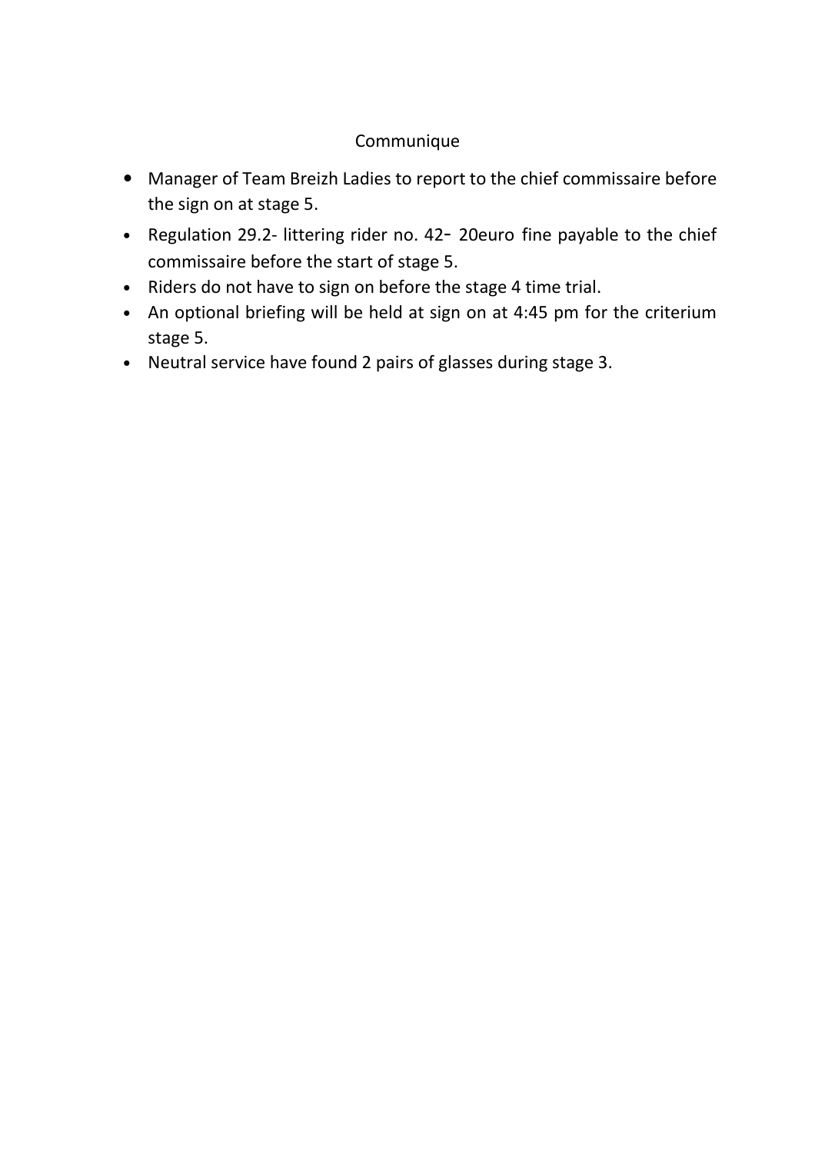### Communique

- Manager of Team Breizh Ladies to report to the chief commissaire before the sign on at stage 5.
- Regulation 29.2- littering rider no. 42- 20euro fine payable to the chief commissaire before the start of stage 5.
- Riders do not have to sign on before the stage 4 time trial.
- An optional briefing will be held at sign on at 4:45 pm for the criterium stage 5.
- Neutral service have found 2 pairs of glasses during stage 3.